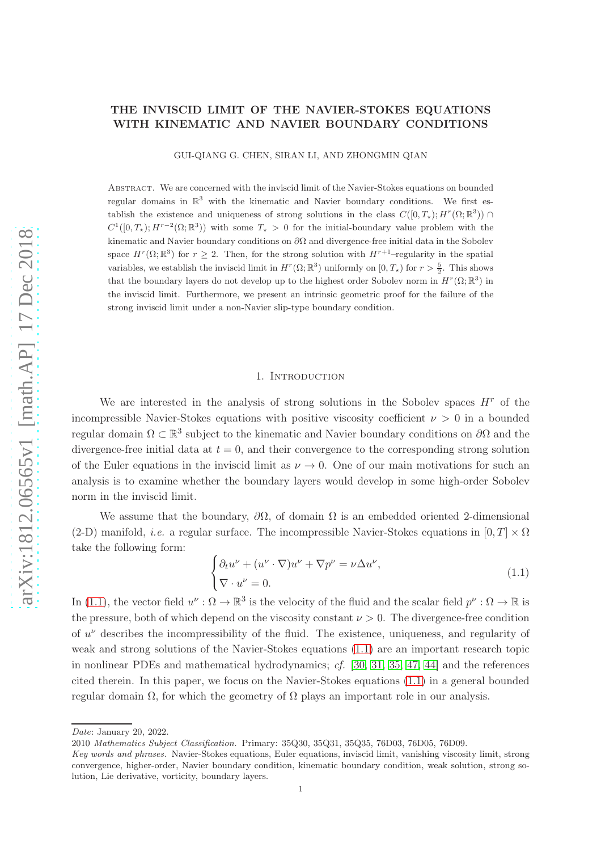# THE INVISCID LIMIT OF THE NAVIER-STOKES EQUATIONS WITH KINEMATIC AND NAVIER BOUNDARY CONDITIONS

GUI-QIANG G. CHEN, SIRAN LI, AND ZHONGMIN QIAN

Abstract. We are concerned with the inviscid limit of the Navier-Stokes equations on bounded regular domains in  $\mathbb{R}^3$  with the kinematic and Navier boundary conditions. We first establish the existence and uniqueness of strong solutions in the class  $C([0,T_\star); H^r(\Omega;\mathbb{R}^3))$  $C^1([0,T_\star); H^{r-2}(\Omega;\mathbb{R}^3))$  with some  $T_\star > 0$  for the initial-boundary value problem with the kinematic and Navier boundary conditions on  $\partial\Omega$  and divergence-free initial data in the Sobolev space  $H^r(\Omega;\mathbb{R}^3)$  for  $r \geq 2$ . Then, for the strong solution with  $H^{r+1}$ -regularity in the spatial variables, we establish the inviscid limit in  $H^r(\Omega;\mathbb{R}^3)$  uniformly on  $[0,T_\star)$  for  $r > \frac{5}{2}$ . This shows that the boundary layers do not develop up to the highest order Sobolev norm in  $H^r(\Omega;\mathbb{R}^3)$  in the inviscid limit. Furthermore, we present an intrinsic geometric proof for the failure of the strong inviscid limit under a non-Navier slip-type boundary condition.

## 1. INTRODUCTION

We are interested in the analysis of strong solutions in the Sobolev spaces  $H^r$  of the incompressible Navier-Stokes equations with positive viscosity coefficient  $\nu > 0$  in a bounded regular domain  $\Omega \subset \mathbb{R}^3$  subject to the kinematic and Navier boundary conditions on  $\partial\Omega$  and the divergence-free initial data at  $t = 0$ , and their convergence to the corresponding strong solution of the Euler equations in the inviscid limit as  $\nu \to 0$ . One of our main motivations for such an analysis is to examine whether the boundary layers would develop in some high-order Sobolev norm in the inviscid limit.

We assume that the boundary,  $\partial\Omega$ , of domain  $\Omega$  is an embedded oriented 2-dimensional (2-D) manifold, *i.e.* a regular surface. The incompressible Navier-Stokes equations in  $[0, T] \times \Omega$ take the following form:

<span id="page-0-0"></span>
$$
\begin{cases} \partial_t u^{\nu} + (u^{\nu} \cdot \nabla) u^{\nu} + \nabla p^{\nu} = \nu \Delta u^{\nu}, \\ \nabla \cdot u^{\nu} = 0. \end{cases}
$$
 (1.1)

In [\(1.1\)](#page-0-0), the vector field  $u^{\nu} : \Omega \to \mathbb{R}^3$  is the velocity of the fluid and the scalar field  $p^{\nu} : \Omega \to \mathbb{R}$  is the pressure, both of which depend on the viscosity constant  $\nu > 0$ . The divergence-free condition of  $u^{\nu}$  describes the incompressibility of the fluid. The existence, uniqueness, and regularity of weak and strong solutions of the Navier-Stokes equations [\(1.1\)](#page-0-0) are an important research topic in nonlinear PDEs and mathematical hydrodynamics; cf. [\[30,](#page-28-0) [31,](#page-28-1) [35,](#page-28-2) [47,](#page-29-0) [44\]](#page-29-1) and the references cited therein. In this paper, we focus on the Navier-Stokes equations [\(1.1\)](#page-0-0) in a general bounded regular domain Ω, for which the geometry of  $Ω$  plays an important role in our analysis.

Date: January 20, 2022.

<sup>2010</sup> Mathematics Subject Classification. Primary: 35Q30, 35Q31, 35Q35, 76D03, 76D05, 76D09.

Key words and phrases. Navier-Stokes equations, Euler equations, inviscid limit, vanishing viscosity limit, strong convergence, higher-order, Navier boundary condition, kinematic boundary condition, weak solution, strong solution, Lie derivative, vorticity, boundary layers.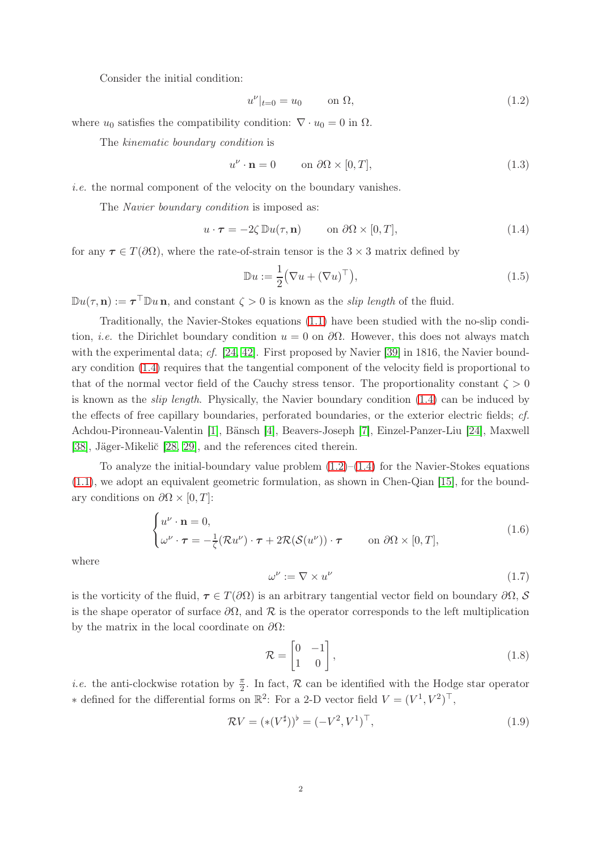Consider the initial condition:

<span id="page-1-1"></span>
$$
u^{\nu}|_{t=0} = u_0 \qquad \text{on } \Omega,\tag{1.2}
$$

where  $u_0$  satisfies the compatibility condition:  $\nabla \cdot u_0 = 0$  in  $\Omega$ .

The kinematic boundary condition is

$$
u^{\nu} \cdot \mathbf{n} = 0 \qquad \text{on } \partial\Omega \times [0, T], \tag{1.3}
$$

i.e. the normal component of the velocity on the boundary vanishes.

The *Navier* boundary condition is imposed as:

<span id="page-1-0"></span>
$$
u \cdot \boldsymbol{\tau} = -2\zeta \, \mathbb{D}u(\tau, \mathbf{n}) \qquad \text{on } \partial\Omega \times [0, T], \tag{1.4}
$$

for any  $\tau \in T(\partial\Omega)$ , where the rate-of-strain tensor is the  $3 \times 3$  matrix defined by

$$
\mathbb{D}u := \frac{1}{2} (\nabla u + (\nabla u)^\top), \tag{1.5}
$$

 $\mathbb{D}u(\tau,\mathbf{n}) := \tau^{\top}\mathbb{D}u\,\mathbf{n}$ , and constant  $\zeta > 0$  is known as the *slip length* of the fluid.

Traditionally, the Navier-Stokes equations [\(1.1\)](#page-0-0) have been studied with the no-slip condition, *i.e.* the Dirichlet boundary condition  $u = 0$  on  $\partial\Omega$ . However, this does not always match with the experimental data; cf.  $[24, 42]$  $[24, 42]$ . First proposed by Navier  $[39]$  in 1816, the Navier boundary condition [\(1.4\)](#page-1-0) requires that the tangential component of the velocity field is proportional to that of the normal vector field of the Cauchy stress tensor. The proportionality constant  $\zeta > 0$ is known as the *slip length*. Physically, the Navier boundary condition  $(1.4)$  can be induced by the effects of free capillary boundaries, perforated boundaries, or the exterior electric fields; cf. Achdou-Pironneau-Valentin [\[1\]](#page-27-0), Bänsch [\[4\]](#page-27-1), Beavers-Joseph [\[7\]](#page-27-2), Einzel-Panzer-Liu [\[24\]](#page-28-3), Maxwell [\[38\]](#page-29-4), Jäger-Mikelič [\[28,](#page-28-4) [29\]](#page-28-5), and the references cited therein.

To analyze the initial-boundary value problem  $(1.2)$ – $(1.4)$  for the Navier-Stokes equations [\(1.1\)](#page-0-0), we adopt an equivalent geometric formulation, as shown in Chen-Qian [\[15\]](#page-28-6), for the boundary conditions on  $\partial\Omega \times [0, T]$ :

<span id="page-1-2"></span>
$$
\begin{cases}\nu^{\nu} \cdot \mathbf{n} = 0, \\
\omega^{\nu} \cdot \boldsymbol{\tau} = -\frac{1}{\zeta} (\mathcal{R}u^{\nu}) \cdot \boldsymbol{\tau} + 2\mathcal{R}(\mathcal{S}(u^{\nu})) \cdot \boldsymbol{\tau} \qquad \text{on } \partial\Omega \times [0, T],\n\end{cases} (1.6)
$$

where

$$
\omega^{\nu} := \nabla \times u^{\nu} \tag{1.7}
$$

is the vorticity of the fluid,  $\tau \in T(\partial\Omega)$  is an arbitrary tangential vector field on boundary  $\partial\Omega$ , S is the shape operator of surface  $\partial\Omega$ , and R is the operator corresponds to the left multiplication by the matrix in the local coordinate on  $\partial\Omega$ :

$$
\mathcal{R} = \begin{bmatrix} 0 & -1 \\ 1 & 0 \end{bmatrix},\tag{1.8}
$$

*i.e.* the anti-clockwise rotation by  $\frac{\pi}{2}$ . In fact, R can be identified with the Hodge star operator \* defined for the differential forms on  $\mathbb{R}^2$ : For a 2-D vector field  $V = (V^1, V^2)^\top$ ,

$$
\mathcal{R}V = (* (V^{\sharp}))^{\flat} = (-V^2, V^1)^{\top}, \tag{1.9}
$$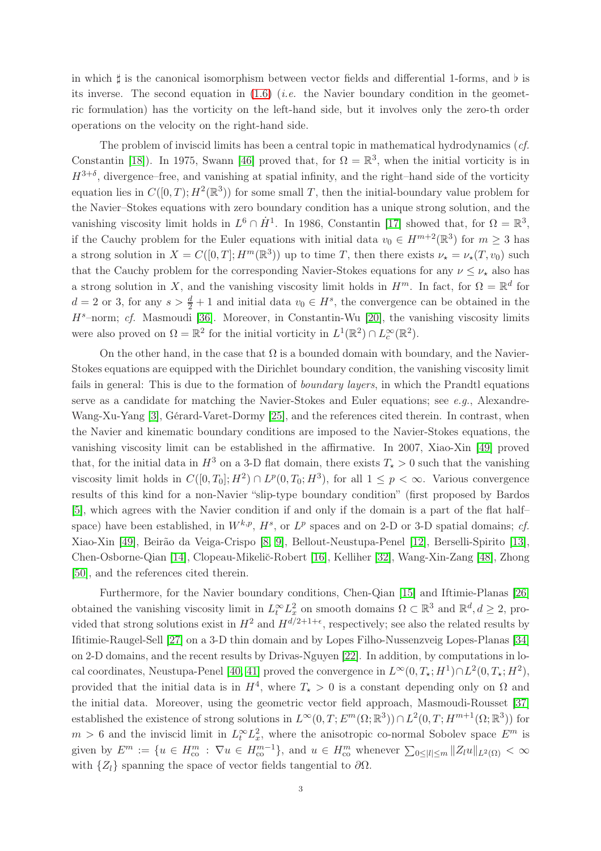in which  $\sharp$  is the canonical isomorphism between vector fields and differential 1-forms, and  $\flat$  is its inverse. The second equation in  $(1.6)$  (*i.e.* the Navier boundary condition in the geometric formulation) has the vorticity on the left-hand side, but it involves only the zero-th order operations on the velocity on the right-hand side.

The problem of inviscid limits has been a central topic in mathematical hydrodynamics (cf. Constantin [\[18\]](#page-28-7)). In 1975, Swann [\[46\]](#page-29-5) proved that, for  $\Omega = \mathbb{R}^3$ , when the initial vorticity is in  $H^{3+\delta}$ , divergence–free, and vanishing at spatial infinity, and the right–hand side of the vorticity equation lies in  $C([0,T); H^2(\mathbb{R}^3))$  for some small T, then the initial-boundary value problem for the Navier–Stokes equations with zero boundary condition has a unique strong solution, and the vanishing viscosity limit holds in  $L^6 \cap \dot{H}^1$ . In 1986, Constantin [\[17\]](#page-28-8) showed that, for  $\Omega = \mathbb{R}^3$ , if the Cauchy problem for the Euler equations with initial data  $v_0 \in H^{m+2}(\mathbb{R}^3)$  for  $m \geq 3$  has a strong solution in  $X = C([0,T]; H^m(\mathbb{R}^3))$  up to time T, then there exists  $\nu_{\star} = \nu_{\star}(T, v_0)$  such that the Cauchy problem for the corresponding Navier-Stokes equations for any  $\nu \leq \nu_{\star}$  also has a strong solution in X, and the vanishing viscosity limit holds in  $H^m$ . In fact, for  $\Omega = \mathbb{R}^d$  for  $d=2$  or 3, for any  $s > \frac{d}{2}+1$  and initial data  $v_0 \in H^s$ , the convergence can be obtained in the  $H^s$ -norm; cf. Masmoudi [\[36\]](#page-28-9). Moreover, in Constantin-Wu [\[20\]](#page-28-10), the vanishing viscosity limits were also proved on  $\Omega = \mathbb{R}^2$  for the initial vorticity in  $L^1(\mathbb{R}^2) \cap L_c^{\infty}(\mathbb{R}^2)$ .

On the other hand, in the case that  $\Omega$  is a bounded domain with boundary, and the Navier-Stokes equations are equipped with the Dirichlet boundary condition, the vanishing viscosity limit fails in general: This is due to the formation of *boundary layers*, in which the Prandtl equations serve as a candidate for matching the Navier-Stokes and Euler equations; see  $e, q, \lambda$  Alexandre-Wang-Xu-Yang [\[3\]](#page-27-3), Gérard-Varet-Dormy [\[25\]](#page-28-11), and the references cited therein. In contrast, when the Navier and kinematic boundary conditions are imposed to the Navier-Stokes equations, the vanishing viscosity limit can be established in the affirmative. In 2007, Xiao-Xin [\[49\]](#page-29-6) proved that, for the initial data in  $H^3$  on a 3-D flat domain, there exists  $T_{\star} > 0$  such that the vanishing viscosity limit holds in  $C([0, T_0]; H^2) \cap L^p(0, T_0; H^3)$ , for all  $1 \leq p < \infty$ . Various convergence results of this kind for a non-Navier "slip-type boundary condition" (first proposed by Bardos [\[5\]](#page-27-4), which agrees with the Navier condition if and only if the domain is a part of the flat half– space) have been established, in  $W^{k,p}$ ,  $H^s$ , or  $L^p$  spaces and on 2-D or 3-D spatial domains; cf. Xiao-Xin [\[49\]](#page-29-6), Beirão da Veiga-Crispo [\[8,](#page-27-5) [9\]](#page-28-12), Bellout-Neustupa-Penel [\[12\]](#page-28-13), Berselli-Spirito [\[13\]](#page-28-14), Chen-Osborne-Qian [\[14\]](#page-28-15), Clopeau-Mikelič-Robert [\[16\]](#page-28-16), Kelliher [\[32\]](#page-28-17), Wang-Xin-Zang [\[48\]](#page-29-7), Zhong [\[50\]](#page-29-8), and the references cited therein.

Furthermore, for the Navier boundary conditions, Chen-Qian [\[15\]](#page-28-6) and Iftimie-Planas [\[26\]](#page-28-18) obtained the vanishing viscosity limit in  $L_t^{\infty} L_x^2$  on smooth domains  $\Omega \subset \mathbb{R}^3$  and  $\mathbb{R}^d, d \geq 2$ , provided that strong solutions exist in  $H^2$  and  $H^{d/2+1+\epsilon}$ , respectively; see also the related results by Ifitimie-Raugel-Sell [\[27\]](#page-28-19) on a 3-D thin domain and by Lopes Filho-Nussenzveig Lopes-Planas [\[34\]](#page-28-20) on 2-D domains, and the recent results by Drivas-Nguyen [\[22\]](#page-28-21). In addition, by computations in lo-cal coordinates, Neustupa-Penel [\[40,](#page-29-9) [41\]](#page-29-10) proved the convergence in  $L^{\infty}(0, T_{\star}; H^{1}) \cap L^{2}(0, T_{\star}; H^{2}),$ provided that the initial data is in  $H^4$ , where  $T<sub>\star</sub> > 0$  is a constant depending only on  $\Omega$  and the initial data. Moreover, using the geometric vector field approach, Masmoudi-Rousset [\[37\]](#page-29-11) established the existence of strong solutions in  $L^{\infty}(0,T; E^m(\Omega;\mathbb{R}^3)) \cap L^2(0,T; H^{m+1}(\Omega;\mathbb{R}^3))$  for  $m > 6$  and the inviscid limit in  $L_t^{\infty} L_x^2$ , where the anisotropic co-normal Sobolev space  $E^m$  is given by  $E^m := \{u \in H_{\text{co}}^m : \nabla u \in H_{\text{co}}^{m-1}\}\$ , and  $u \in H_{\text{co}}^m$  whenever  $\sum_{0 \leq |l| \leq m} \|Z_l u\|_{L^2(\Omega)} < \infty$ with  $\{Z_l\}$  spanning the space of vector fields tangential to  $\partial\Omega$ .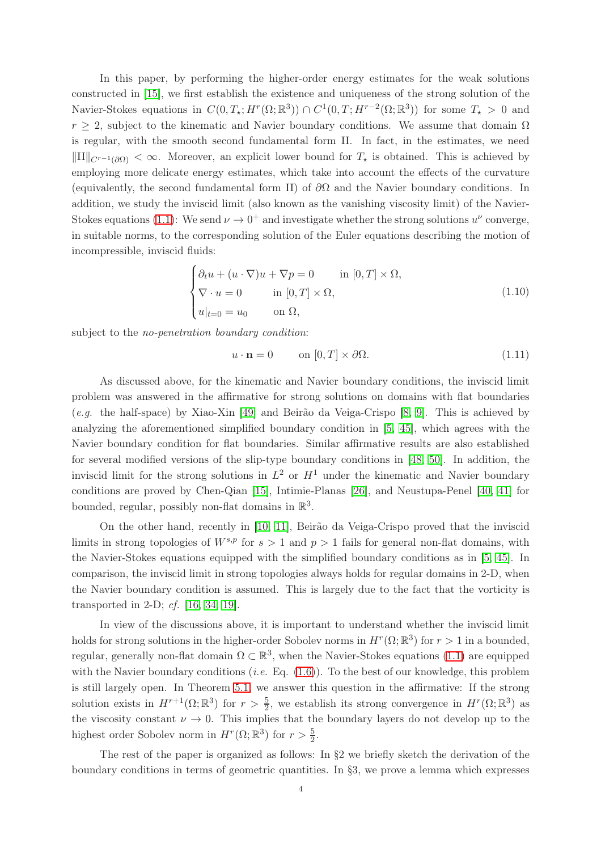In this paper, by performing the higher-order energy estimates for the weak solutions constructed in [\[15\]](#page-28-6), we first establish the existence and uniqueness of the strong solution of the Navier-Stokes equations in  $C(0,T_\star;H^r(\Omega;\mathbb{R}^3))\cap C^1(0,T;H^{r-2}(\Omega;\mathbb{R}^3))$  for some  $T_\star>0$  and  $r \geq 2$ , subject to the kinematic and Navier boundary conditions. We assume that domain  $\Omega$ is regular, with the smooth second fundamental form II. In fact, in the estimates, we need  $\|\Pi\|_{C^{r-1}(\partial\Omega)} < \infty$ . Moreover, an explicit lower bound for  $T_{\star}$  is obtained. This is achieved by employing more delicate energy estimates, which take into account the effects of the curvature (equivalently, the second fundamental form II) of  $\partial\Omega$  and the Navier boundary conditions. In addition, we study the inviscid limit (also known as the vanishing viscosity limit) of the Navier-Stokes equations [\(1.1\)](#page-0-0): We send  $\nu \to 0^+$  and investigate whether the strong solutions  $u^{\nu}$  converge, in suitable norms, to the corresponding solution of the Euler equations describing the motion of incompressible, inviscid fluids:

<span id="page-3-1"></span>
$$
\begin{cases} \partial_t u + (u \cdot \nabla) u + \nabla p = 0 & \text{in } [0, T] \times \Omega, \\ \nabla \cdot u = 0 & \text{in } [0, T] \times \Omega, \\ u|_{t=0} = u_0 & \text{on } \Omega, \end{cases}
$$
(1.10)

subject to the *no-penetration boundary condition*:

<span id="page-3-0"></span>
$$
u \cdot \mathbf{n} = 0 \qquad \text{on } [0, T] \times \partial \Omega. \tag{1.11}
$$

As discussed above, for the kinematic and Navier boundary conditions, the inviscid limit problem was answered in the affirmative for strong solutions on domains with flat boundaries (e.g. the half-space) by Xiao-Xin [\[49\]](#page-29-6) and Beirão da Veiga-Crispo [\[8,](#page-27-5) [9\]](#page-28-12). This is achieved by analyzing the aforementioned simplified boundary condition in [\[5,](#page-27-4) [45\]](#page-29-12), which agrees with the Navier boundary condition for flat boundaries. Similar affirmative results are also established for several modified versions of the slip-type boundary conditions in [\[48,](#page-29-7) [50\]](#page-29-8). In addition, the inviscid limit for the strong solutions in  $L^2$  or  $H^1$  under the kinematic and Navier boundary conditions are proved by Chen-Qian [\[15\]](#page-28-6), Intimie-Planas [\[26\]](#page-28-18), and Neustupa-Penel [\[40,](#page-29-9) [41\]](#page-29-10) for bounded, regular, possibly non-flat domains in  $\mathbb{R}^3$ .

On the other hand, recently in [\[10,](#page-28-22) [11\]](#page-28-23), Beirão da Veiga-Crispo proved that the inviscid limits in strong topologies of  $W^{s,p}$  for  $s > 1$  and  $p > 1$  fails for general non-flat domains, with the Navier-Stokes equations equipped with the simplified boundary conditions as in [\[5,](#page-27-4) [45\]](#page-29-12). In comparison, the inviscid limit in strong topologies always holds for regular domains in 2-D, when the Navier boundary condition is assumed. This is largely due to the fact that the vorticity is transported in 2-D; cf. [\[16,](#page-28-16) [34,](#page-28-20) [19\]](#page-28-24).

In view of the discussions above, it is important to understand whether the inviscid limit holds for strong solutions in the higher-order Sobolev norms in  $H^r(\Omega;\mathbb{R}^3)$  for  $r>1$  in a bounded, regular, generally non-flat domain  $\Omega \subset \mathbb{R}^3$ , when the Navier-Stokes equations [\(1.1\)](#page-0-0) are equipped with the Navier boundary conditions (*i.e.* Eq.  $(1.6)$ ). To the best of our knowledge, this problem is still largely open. In Theorem [5.1,](#page-18-0) we answer this question in the affirmative: If the strong solution exists in  $H^{r+1}(\Omega;\mathbb{R}^3)$  for  $r > \frac{5}{2}$ , we establish its strong convergence in  $H^r(\Omega;\mathbb{R}^3)$  as the viscosity constant  $\nu \to 0$ . This implies that the boundary layers do not develop up to the highest order Sobolev norm in  $H^r(\Omega; \mathbb{R}^3)$  for  $r > \frac{5}{2}$ .

The rest of the paper is organized as follows: In §2 we briefly sketch the derivation of the boundary conditions in terms of geometric quantities. In §3, we prove a lemma which expresses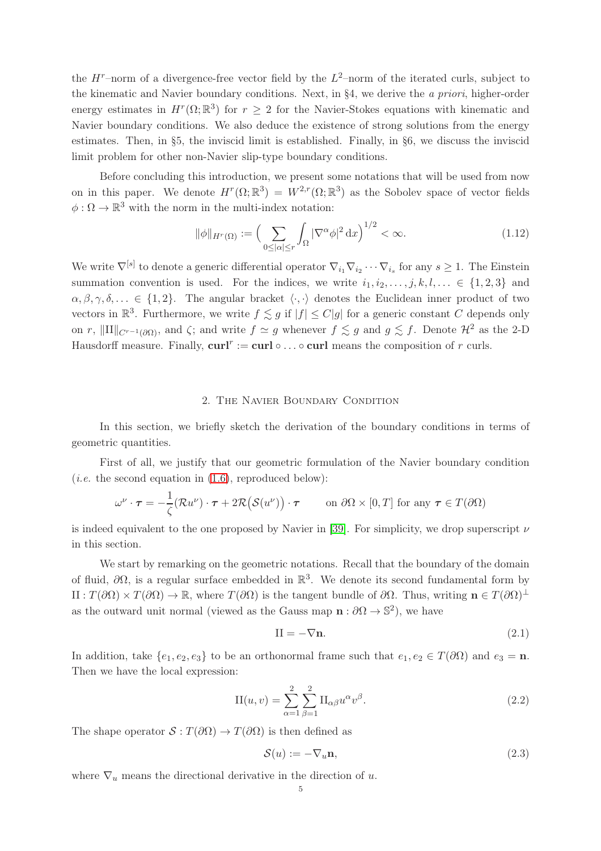the  $H^r$ -norm of a divergence-free vector field by the  $L^2$ -norm of the iterated curls, subject to the kinematic and Navier boundary conditions. Next, in §4, we derive the a priori, higher-order energy estimates in  $H^r(\Omega;\mathbb{R}^3)$  for  $r \geq 2$  for the Navier-Stokes equations with kinematic and Navier boundary conditions. We also deduce the existence of strong solutions from the energy estimates. Then, in §5, the inviscid limit is established. Finally, in §6, we discuss the inviscid limit problem for other non-Navier slip-type boundary conditions.

Before concluding this introduction, we present some notations that will be used from now on in this paper. We denote  $H^r(\Omega;\mathbb{R}^3) = W^{2,r}(\Omega;\mathbb{R}^3)$  as the Sobolev space of vector fields  $\phi : \Omega \to \mathbb{R}^3$  with the norm in the multi-index notation:

$$
\|\phi\|_{H^r(\Omega)} := \left(\sum_{0 \le |\alpha| \le r} \int_{\Omega} |\nabla^{\alpha} \phi|^2 \, \mathrm{d} x\right)^{1/2} < \infty. \tag{1.12}
$$

We write  $\nabla^{[s]}$  to denote a generic differential operator  $\nabla_{i_1}\nabla_{i_2}\cdots\nabla_{i_s}$  for any  $s\geq 1$ . The Einstein summation convention is used. For the indices, we write  $i_1, i_2, \ldots, j, k, l, \ldots \in \{1, 2, 3\}$  and  $\alpha, \beta, \gamma, \delta, \ldots \in \{1, 2\}.$  The angular bracket  $\langle \cdot, \cdot \rangle$  denotes the Euclidean inner product of two vectors in  $\mathbb{R}^3$ . Furthermore, we write  $f \lesssim g$  if  $|f| \leq C|g|$  for a generic constant C depends only on r,  $\|\text{III}\|_{C^{r-1}(\partial\Omega)}$ , and  $\zeta$ ; and write  $f \simeq g$  whenever  $f \lesssim g$  and  $g \lesssim f$ . Denote  $\mathcal{H}^2$  as the 2-D Hausdorff measure. Finally,  $\text{curl}^r := \text{curl} \circ \dots \circ \text{curl}$  means the composition of r curls.

#### 2. The Navier Boundary Condition

In this section, we briefly sketch the derivation of the boundary conditions in terms of geometric quantities.

First of all, we justify that our geometric formulation of the Navier boundary condition (*i.e.* the second equation in  $(1.6)$ , reproduced below):

$$
\omega^{\nu} \cdot \boldsymbol{\tau} = -\frac{1}{\zeta} (\mathcal{R}u^{\nu}) \cdot \boldsymbol{\tau} + 2\mathcal{R}(\mathcal{S}(u^{\nu})) \cdot \boldsymbol{\tau} \qquad \text{on } \partial\Omega \times [0, T] \text{ for any } \boldsymbol{\tau} \in T(\partial\Omega)
$$

is indeed equivalent to the one proposed by Navier in [\[39\]](#page-29-3). For simplicity, we drop superscript  $\nu$ in this section.

We start by remarking on the geometric notations. Recall that the boundary of the domain of fluid,  $\partial\Omega$ , is a regular surface embedded in  $\mathbb{R}^3$ . We denote its second fundamental form by II :  $T(\partial\Omega) \times T(\partial\Omega) \to \mathbb{R}$ , where  $T(\partial\Omega)$  is the tangent bundle of  $\partial\Omega$ . Thus, writing  $\mathbf{n} \in T(\partial\Omega)$ <sup>⊥</sup> as the outward unit normal (viewed as the Gauss map  $\mathbf{n} : \partial \Omega \to \mathbb{S}^2$ ), we have

$$
II = -\nabla n. \tag{2.1}
$$

In addition, take  $\{e_1, e_2, e_3\}$  to be an orthonormal frame such that  $e_1, e_2 \in T(\partial\Omega)$  and  $e_3 = n$ . Then we have the local expression:

$$
II(u, v) = \sum_{\alpha=1}^{2} \sum_{\beta=1}^{2} II_{\alpha\beta} u^{\alpha} v^{\beta}.
$$
 (2.2)

The shape operator  $S : T(\partial\Omega) \to T(\partial\Omega)$  is then defined as

$$
\mathcal{S}(u) := -\nabla_u \mathbf{n},\tag{2.3}
$$

where  $\nabla_u$  means the directional derivative in the direction of u.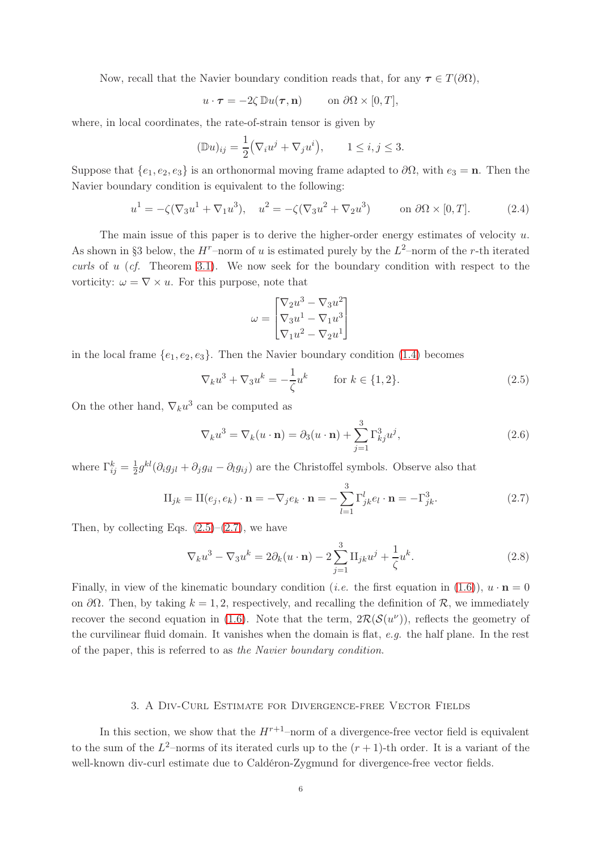Now, recall that the Navier boundary condition reads that, for any  $\tau \in T(\partial\Omega)$ ,

$$
u \cdot \boldsymbol{\tau} = -2\zeta \, \mathbb{D}u(\boldsymbol{\tau}, \mathbf{n}) \qquad \text{on } \partial\Omega \times [0, T],
$$

where, in local coordinates, the rate-of-strain tensor is given by

$$
(\mathbb{D}u)_{ij} = \frac{1}{2} (\nabla_i u^j + \nabla_j u^i), \qquad 1 \le i, j \le 3.
$$

Suppose that  $\{e_1, e_2, e_3\}$  is an orthonormal moving frame adapted to  $\partial\Omega$ , with  $e_3 = \mathbf{n}$ . Then the Navier boundary condition is equivalent to the following:

$$
u^{1} = -\zeta(\nabla_{3}u^{1} + \nabla_{1}u^{3}), \quad u^{2} = -\zeta(\nabla_{3}u^{2} + \nabla_{2}u^{3}) \quad \text{on } \partial\Omega \times [0, T]. \tag{2.4}
$$

The main issue of this paper is to derive the higher-order energy estimates of velocity  $u$ . As shown in §3 below, the  $H^r$ -norm of u is estimated purely by the  $L^2$ -norm of the r-th iterated curls of u (cf. Theorem [3.1\)](#page-6-0). We now seek for the boundary condition with respect to the vorticity:  $\omega = \nabla \times u$ . For this purpose, note that

$$
\omega = \begin{bmatrix} \nabla_2 u^3 - \nabla_3 u^2 \\ \nabla_3 u^1 - \nabla_1 u^3 \\ \nabla_1 u^2 - \nabla_2 u^1 \end{bmatrix}
$$

in the local frame  $\{e_1, e_2, e_3\}$ . Then the Navier boundary condition [\(1.4\)](#page-1-0) becomes

<span id="page-5-0"></span>
$$
\nabla_k u^3 + \nabla_3 u^k = -\frac{1}{\zeta} u^k \qquad \text{for } k \in \{1, 2\}.
$$
 (2.5)

On the other hand,  $\nabla_k u^3$  can be computed as

<span id="page-5-1"></span>
$$
\nabla_k u^3 = \nabla_k (u \cdot \mathbf{n}) = \partial_3 (u \cdot \mathbf{n}) + \sum_{j=1}^3 \Gamma_{kj}^3 u^j,
$$
\n(2.6)

where  $\Gamma_{ij}^k = \frac{1}{2}$  $\frac{1}{2}g^{kl}(\partial_i g_{jl} + \partial_j g_{il} - \partial_l g_{ij})$  are the Christoffel symbols. Observe also that

$$
\Pi_{jk} = \Pi(e_j, e_k) \cdot \mathbf{n} = -\nabla_j e_k \cdot \mathbf{n} = -\sum_{l=1}^3 \Gamma_{jk}^l e_l \cdot \mathbf{n} = -\Gamma_{jk}^3.
$$
 (2.7)

Then, by collecting Eqs.  $(2.5)-(2.7)$  $(2.5)-(2.7)$ , we have

$$
\nabla_k u^3 - \nabla_3 u^k = 2\partial_k (u \cdot \mathbf{n}) - 2 \sum_{j=1}^3 \Pi_{jk} u^j + \frac{1}{\zeta} u^k.
$$
 (2.8)

Finally, in view of the kinematic boundary condition (*i.e.* the first equation in [\(1.6\)](#page-1-2)),  $u \cdot \mathbf{n} = 0$ on  $\partial\Omega$ . Then, by taking  $k = 1, 2$ , respectively, and recalling the definition of R, we immediately recover the second equation in [\(1.6\)](#page-1-2). Note that the term,  $2\mathcal{R}(\mathcal{S}(u^{\nu}))$ , reflects the geometry of the curvilinear fluid domain. It vanishes when the domain is flat, e.g. the half plane. In the rest of the paper, this is referred to as the Navier boundary condition.

## 3. A Div-Curl Estimate for Divergence-free Vector Fields

In this section, we show that the  $H^{r+1}$ –norm of a divergence-free vector field is equivalent to the sum of the  $L^2$ -norms of its iterated curls up to the  $(r + 1)$ -th order. It is a variant of the well-known div-curl estimate due to Caldéron-Zygmund for divergence-free vector fields.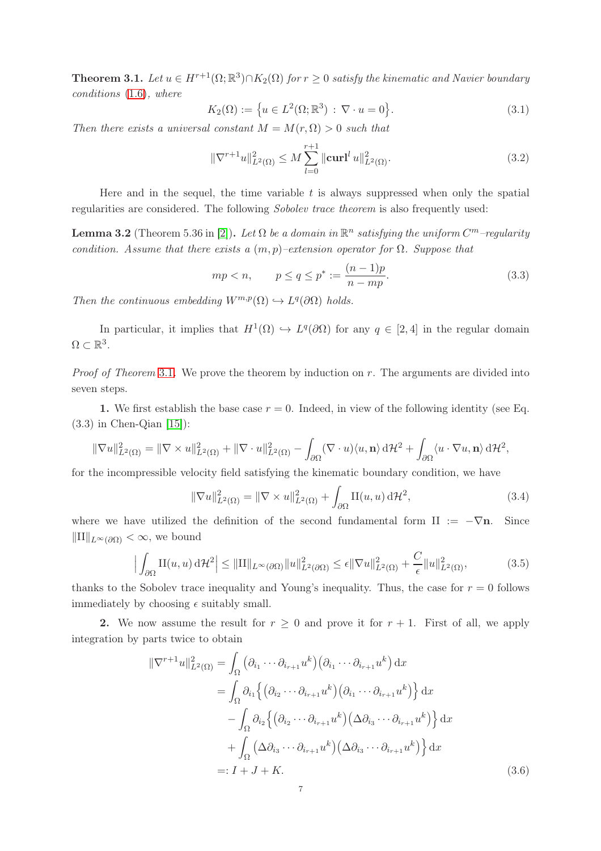<span id="page-6-0"></span>**Theorem 3.1.** Let  $u \in H^{r+1}(\Omega; \mathbb{R}^3) \cap K_2(\Omega)$  for  $r \geq 0$  satisfy the kinematic and Navier boundary conditions [\(1.6\)](#page-1-2), where

<span id="page-6-2"></span>
$$
K_2(\Omega) := \{ u \in L^2(\Omega; \mathbb{R}^3) : \nabla \cdot u = 0 \}.
$$
 (3.1)

Then there exists a universal constant  $M = M(r, \Omega) > 0$  such that

$$
\|\nabla^{r+1}u\|_{L^2(\Omega)}^2 \le M \sum_{l=0}^{r+1} \|\mathbf{curl}^l u\|_{L^2(\Omega)}^2.
$$
 (3.2)

Here and in the sequel, the time variable  $t$  is always suppressed when only the spatial regularities are considered. The following Sobolev trace theorem is also frequently used:

**Lemma 3.2** (Theorem 5.36 in [\[2\]](#page-27-6)). Let  $\Omega$  be a domain in  $\mathbb{R}^n$  satisfying the uniform  $C^m$ -regularity condition. Assume that there exists a  $(m, p)$ –extension operator for  $\Omega$ . Suppose that

$$
mp < n
$$
,  $p \le q \le p^* := \frac{(n-1)p}{n - mp}$ . (3.3)

Then the continuous embedding  $W^{m,p}(\Omega) \hookrightarrow L^q(\partial \Omega)$  holds.

In particular, it implies that  $H^1(\Omega) \hookrightarrow L^q(\partial\Omega)$  for any  $q \in [2,4]$  in the regular domain  $\Omega \subset \mathbb{R}^3$ .

*Proof of Theorem [3.1](#page-6-0).* We prove the theorem by induction on  $r$ . The arguments are divided into seven steps.

1. We first establish the base case  $r = 0$ . Indeed, in view of the following identity (see Eq.  $(3.3)$  in Chen-Qian  $[15]$ :

$$
\|\nabla u\|_{L^2(\Omega)}^2 = \|\nabla \times u\|_{L^2(\Omega)}^2 + \|\nabla \cdot u\|_{L^2(\Omega)}^2 - \int_{\partial \Omega} (\nabla \cdot u) \langle u, \mathbf{n} \rangle \, d\mathcal{H}^2 + \int_{\partial \Omega} \langle u \cdot \nabla u, \mathbf{n} \rangle \, d\mathcal{H}^2,
$$

for the incompressible velocity field satisfying the kinematic boundary condition, we have

<span id="page-6-1"></span>
$$
\|\nabla u\|_{L^2(\Omega)}^2 = \|\nabla \times u\|_{L^2(\Omega)}^2 + \int_{\partial\Omega} \text{II}(u, u) \,d\mathcal{H}^2,\tag{3.4}
$$

where we have utilized the definition of the second fundamental form II :=  $-\nabla n$ . Since  $\|\text{II}\|_{L^{\infty}(\partial\Omega)} < \infty$ , we bound

$$
\left| \int_{\partial\Omega} \mathcal{H}(u, u) d\mathcal{H}^2 \right| \le ||\mathcal{H}||_{L^{\infty}(\partial\Omega)} ||u||_{L^2(\partial\Omega)}^2 \le \epsilon ||\nabla u||_{L^2(\Omega)}^2 + \frac{C}{\epsilon} ||u||_{L^2(\Omega)}^2,
$$
\n(3.5)

thanks to the Sobolev trace inequality and Young's inequality. Thus, the case for  $r = 0$  follows immediately by choosing  $\epsilon$  suitably small.

2. We now assume the result for  $r \geq 0$  and prove it for  $r + 1$ . First of all, we apply integration by parts twice to obtain

$$
\|\nabla^{r+1}u\|_{L^{2}(\Omega)}^{2} = \int_{\Omega} \left(\partial_{i_{1}} \cdots \partial_{i_{r+1}} u^{k}\right) \left(\partial_{i_{1}} \cdots \partial_{i_{r+1}} u^{k}\right) dx
$$
  
\n
$$
= \int_{\Omega} \partial_{i_{1}} \left\{ \left(\partial_{i_{2}} \cdots \partial_{i_{r+1}} u^{k}\right) \left(\partial_{i_{1}} \cdots \partial_{i_{r+1}} u^{k}\right) \right\} dx
$$
  
\n
$$
- \int_{\Omega} \partial_{i_{2}} \left\{ \left(\partial_{i_{2}} \cdots \partial_{i_{r+1}} u^{k}\right) \left(\Delta \partial_{i_{3}} \cdots \partial_{i_{r+1}} u^{k}\right) \right\} dx
$$
  
\n
$$
+ \int_{\Omega} \left(\Delta \partial_{i_{3}} \cdots \partial_{i_{r+1}} u^{k}\right) \left(\Delta \partial_{i_{3}} \cdots \partial_{i_{r+1}} u^{k}\right) dx
$$
  
\n
$$
=: I + J + K.
$$
 (3.6)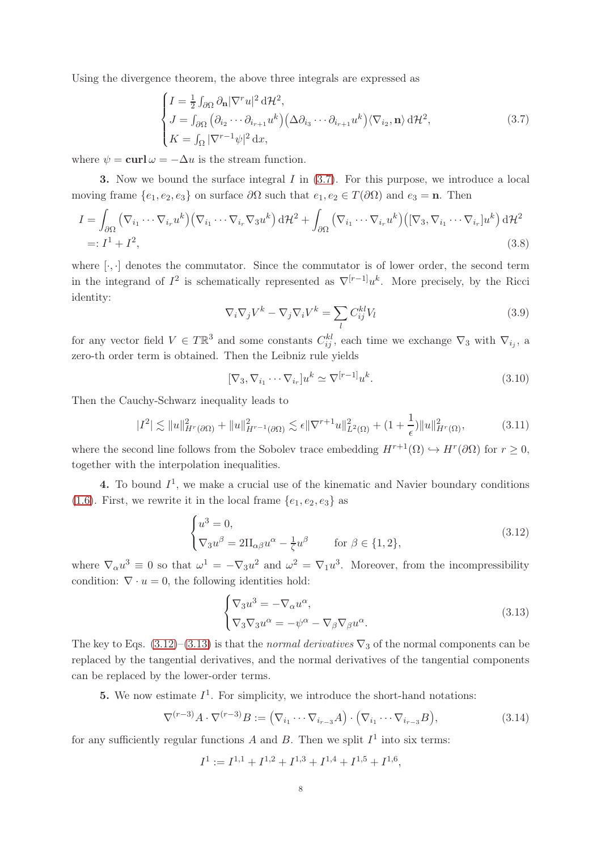Using the divergence theorem, the above three integrals are expressed as

<span id="page-7-0"></span>
$$
\begin{cases}\nI = \frac{1}{2} \int_{\partial \Omega} \partial_{\mathbf{n}} |\nabla^r u|^2 d\mathcal{H}^2, \\
J = \int_{\partial \Omega} \left( \partial_{i_2} \cdots \partial_{i_{r+1}} u^k \right) \left( \Delta \partial_{i_3} \cdots \partial_{i_{r+1}} u^k \right) \langle \nabla_{i_2}, \mathbf{n} \rangle d\mathcal{H}^2, \\
K = \int_{\Omega} |\nabla^{r-1} \psi|^2 dx,\n\end{cases} \tag{3.7}
$$

where  $\psi = \text{curl} \omega = -\Delta u$  is the stream function.

**3.** Now we bound the surface integral  $I$  in  $(3.7)$ . For this purpose, we introduce a local moving frame  $\{e_1, e_2, e_3\}$  on surface  $\partial\Omega$  such that  $e_1, e_2 \in T(\partial\Omega)$  and  $e_3 = \mathbf{n}$ . Then

$$
I = \int_{\partial\Omega} (\nabla_{i_1} \cdots \nabla_{i_r} u^k) (\nabla_{i_1} \cdots \nabla_{i_r} \nabla_3 u^k) d\mathcal{H}^2 + \int_{\partial\Omega} (\nabla_{i_1} \cdots \nabla_{i_r} u^k) ([\nabla_3, \nabla_{i_1} \cdots \nabla_{i_r}] u^k) d\mathcal{H}^2
$$
  
=:  $I^1 + I^2$ , (3.8)

where  $[\cdot, \cdot]$  denotes the commutator. Since the commutator is of lower order, the second term in the integrand of  $I^2$  is schematically represented as  $\nabla^{[r-1]}u^k$ . More precisely, by the Ricci identity:

$$
\nabla_i \nabla_j V^k - \nabla_j \nabla_i V^k = \sum_l C_{ij}^{kl} V_l
$$
\n(3.9)

for any vector field  $V \in T\mathbb{R}^3$  and some constants  $C_{ij}^{kl}$ , each time we exchange  $\nabla_3$  with  $\nabla_{i_j}$ , a zero-th order term is obtained. Then the Leibniz rule yields

$$
[\nabla_3, \nabla_{i_1} \cdots \nabla_{i_r}] u^k \simeq \nabla^{[r-1]} u^k.
$$
\n(3.10)

Then the Cauchy-Schwarz inequality leads to

$$
|I^2| \lesssim \|u\|_{H^r(\partial\Omega)}^2 + \|u\|_{H^{r-1}(\partial\Omega)}^2 \lesssim \epsilon \|\nabla^{r+1}u\|_{L^2(\Omega)}^2 + (1 + \frac{1}{\epsilon})\|u\|_{H^r(\Omega)}^2,\tag{3.11}
$$

where the second line follows from the Sobolev trace embedding  $H^{r+1}(\Omega) \hookrightarrow H^r(\partial \Omega)$  for  $r \geq 0$ , together with the interpolation inequalities.

4. To bound  $I^1$ , we make a crucial use of the kinematic and Navier boundary conditions [\(1.6\)](#page-1-2). First, we rewrite it in the local frame  $\{e_1, e_2, e_3\}$  as

<span id="page-7-1"></span>
$$
\begin{cases}\nu^3 = 0, \\
\nabla_3 u^\beta = 2\Pi_{\alpha\beta} u^\alpha - \frac{1}{\zeta} u^\beta \quad \text{for } \beta \in \{1, 2\},\n\end{cases}
$$
\n(3.12)

where  $\nabla_{\alpha}u^3 \equiv 0$  so that  $\omega^1 = -\nabla_3u^2$  and  $\omega^2 = \nabla_1u^3$ . Moreover, from the incompressibility condition:  $\nabla \cdot u = 0$ , the following identities hold:

<span id="page-7-2"></span>
$$
\begin{cases} \nabla_3 u^3 = -\nabla_\alpha u^\alpha, \\ \nabla_3 \nabla_3 u^\alpha = -\psi^\alpha - \nabla_\beta \nabla_\beta u^\alpha. \end{cases} \tag{3.13}
$$

The key to Eqs. [\(3.12\)](#page-7-1)–[\(3.13\)](#page-7-2) is that the normal derivatives  $\nabla_3$  of the normal components can be replaced by the tangential derivatives, and the normal derivatives of the tangential components can be replaced by the lower-order terms.

**5.** We now estimate  $I^1$ . For simplicity, we introduce the short-hand notations:

$$
\nabla^{(r-3)}A \cdot \nabla^{(r-3)}B := (\nabla_{i_1} \cdots \nabla_{i_{r-3}}A) \cdot (\nabla_{i_1} \cdots \nabla_{i_{r-3}}B),
$$
\n(3.14)

for any sufficiently regular functions A and B. Then we split  $I<sup>1</sup>$  into six terms:

$$
I1 := I1,1 + I1,2 + I1,3 + I1,4 + I1,5 + I1,6,
$$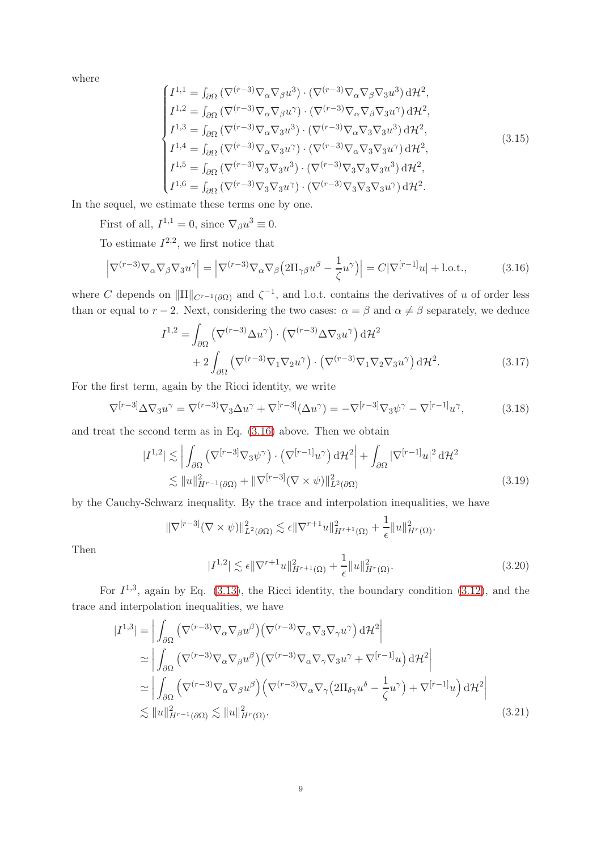where

$$
\begin{cases}\nI^{1,1} = \int_{\partial\Omega} \left( \nabla^{(r-3)} \nabla_{\alpha} \nabla_{\beta} u^{3} \right) \cdot \left( \nabla^{(r-3)} \nabla_{\alpha} \nabla_{\beta} \nabla_{3} u^{3} \right) d\mathcal{H}^{2}, \\
I^{1,2} = \int_{\partial\Omega} \left( \nabla^{(r-3)} \nabla_{\alpha} \nabla_{\beta} u^{\gamma} \right) \cdot \left( \nabla^{(r-3)} \nabla_{\alpha} \nabla_{\beta} \nabla_{3} u^{\gamma} \right) d\mathcal{H}^{2}, \\
I^{1,3} = \int_{\partial\Omega} \left( \nabla^{(r-3)} \nabla_{\alpha} \nabla_{3} u^{3} \right) \cdot \left( \nabla^{(r-3)} \nabla_{\alpha} \nabla_{3} \nabla_{3} u^{3} \right) d\mathcal{H}^{2}, \\
I^{1,4} = \int_{\partial\Omega} \left( \nabla^{(r-3)} \nabla_{\alpha} \nabla_{3} u^{\gamma} \right) \cdot \left( \nabla^{(r-3)} \nabla_{\alpha} \nabla_{3} \nabla_{3} u^{\gamma} \right) d\mathcal{H}^{2}, \\
I^{1,5} = \int_{\partial\Omega} \left( \nabla^{(r-3)} \nabla_{3} \nabla_{3} u^{3} \right) \cdot \left( \nabla^{(r-3)} \nabla_{3} \nabla_{3} \nabla_{3} u^{3} \right) d\mathcal{H}^{2}, \\
I^{1,6} = \int_{\partial\Omega} \left( \nabla^{(r-3)} \nabla_{3} \nabla_{3} u^{\gamma} \right) \cdot \left( \nabla^{(r-3)} \nabla_{3} \nabla_{3} \nabla_{3} u^{\gamma} \right) d\mathcal{H}^{2}.\n\end{cases} \tag{3.15}
$$

In the sequel, we estimate these terms one by one.

First of all,  $I^{1,1} = 0$ , since  $\nabla_{\beta} u^3 \equiv 0$ .

To estimate  $I^{2,2}$ , we first notice that

$$
\left|\nabla^{(r-3)}\nabla_{\alpha}\nabla_{\beta}\nabla_{3}u^{\gamma}\right| = \left|\nabla^{(r-3)}\nabla_{\alpha}\nabla_{\beta}\left(2\Pi_{\gamma\beta}u^{\beta} - \frac{1}{\zeta}u^{\gamma}\right)\right| = C|\nabla^{[r-1]}u| + \text{l.o.t.},\tag{3.16}
$$

where C depends on  $\|\Pi\|_{C^{r-1}(\partial\Omega)}$  and  $\zeta^{-1}$ , and l.o.t. contains the derivatives of u of order less than or equal to r – 2. Next, considering the two cases:  $\alpha = \beta$  and  $\alpha \neq \beta$  separately, we deduce

<span id="page-8-0"></span>
$$
I^{1,2} = \int_{\partial\Omega} \left( \nabla^{(r-3)} \Delta u^{\gamma} \right) \cdot \left( \nabla^{(r-3)} \Delta \nabla_3 u^{\gamma} \right) d\mathcal{H}^2 + 2 \int_{\partial\Omega} \left( \nabla^{(r-3)} \nabla_1 \nabla_2 u^{\gamma} \right) \cdot \left( \nabla^{(r-3)} \nabla_1 \nabla_2 \nabla_3 u^{\gamma} \right) d\mathcal{H}^2.
$$
 (3.17)

For the first term, again by the Ricci identity, we write

$$
\nabla^{[r-3]}\Delta\nabla_3 u^{\gamma} = \nabla^{(r-3)}\nabla_3 \Delta u^{\gamma} + \nabla^{[r-3]}(\Delta u^{\gamma}) = -\nabla^{[r-3]}\nabla_3 \psi^{\gamma} - \nabla^{[r-1]}u^{\gamma},\tag{3.18}
$$

and treat the second term as in Eq. [\(3.16\)](#page-8-0) above. Then we obtain

$$
|I^{1,2}| \lesssim \left| \int_{\partial\Omega} \left( \nabla^{[r-3]} \nabla_3 \psi^{\gamma} \right) \cdot \left( \nabla^{[r-1]} u^{\gamma} \right) \mathrm{d} \mathcal{H}^2 \right| + \int_{\partial\Omega} |\nabla^{[r-1]} u|^2 \, \mathrm{d} \mathcal{H}^2
$$
  

$$
\lesssim \|u\|_{H^{r-1}(\partial\Omega)}^2 + \|\nabla^{[r-3]} (\nabla \times \psi)\|_{L^2(\partial\Omega)}^2
$$
(3.19)

by the Cauchy-Schwarz inequality. By the trace and interpolation inequalities, we have

<span id="page-8-1"></span>
$$
\|\nabla^{[r-3]}(\nabla \times \psi)\|_{L^2(\partial \Omega)}^2 \lesssim \epsilon \|\nabla^{r+1}u\|_{H^{r+1}(\Omega)}^2 + \frac{1}{\epsilon} \|u\|_{H^r(\Omega)}^2.
$$
  

$$
|I^{1,2}| \lesssim \epsilon \|\nabla^{r+1}u\|_{H^{r+1}(\Omega)}^2 + \frac{1}{\epsilon} \|u\|_{H^r(\Omega)}^2.
$$
 (3.20)

Then

For  $I^{1,3}$ , again by Eq. [\(3.13\)](#page-7-2), the Ricci identity, the boundary condition [\(3.12\)](#page-7-1), and the trace and interpolation inequalities, we have

$$
|I^{1,3}| = \left| \int_{\partial\Omega} \left( \nabla^{(r-3)} \nabla_{\alpha} \nabla_{\beta} u^{\beta} \right) \left( \nabla^{(r-3)} \nabla_{\alpha} \nabla_{3} \nabla_{\gamma} u^{\gamma} \right) d\mathcal{H}^{2} \right|
$$
  
\n
$$
\simeq \left| \int_{\partial\Omega} \left( \nabla^{(r-3)} \nabla_{\alpha} \nabla_{\beta} u^{\beta} \right) \left( \nabla^{(r-3)} \nabla_{\alpha} \nabla_{\gamma} \nabla_{3} u^{\gamma} + \nabla^{[r-1]} u \right) d\mathcal{H}^{2} \right|
$$
  
\n
$$
\simeq \left| \int_{\partial\Omega} \left( \nabla^{(r-3)} \nabla_{\alpha} \nabla_{\beta} u^{\beta} \right) \left( \nabla^{(r-3)} \nabla_{\alpha} \nabla_{\gamma} \left( 2\Pi_{\delta\gamma} u^{\delta} - \frac{1}{\zeta} u^{\gamma} \right) + \nabla^{[r-1]} u \right) d\mathcal{H}^{2} \right|
$$
  
\n
$$
\lesssim \|u\|_{H^{r-1}(\partial\Omega)}^{2} \lesssim \|u\|_{H^{r}(\Omega)}^{2}.
$$
\n(3.21)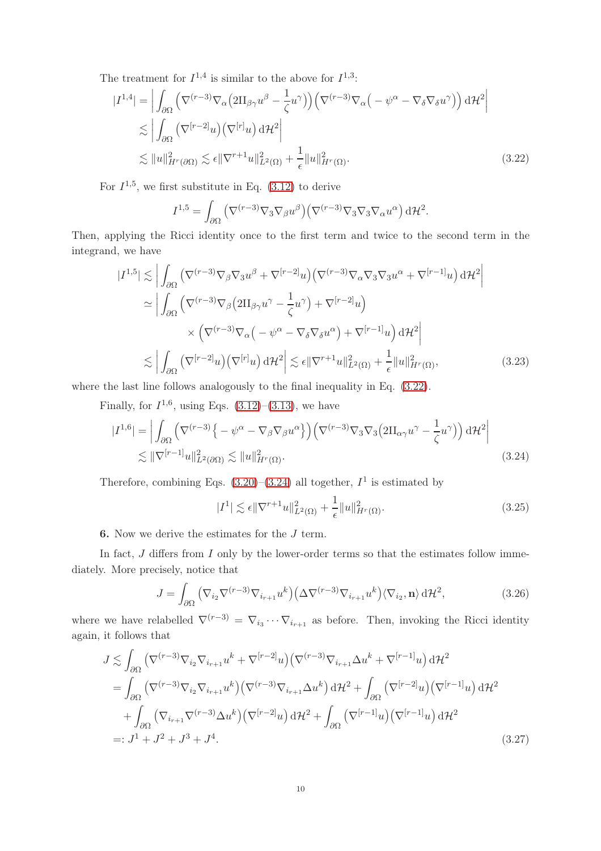The treatment for  $I^{1,4}$  is similar to the above for  $I^{1,3}$ :

$$
|I^{1,4}| = \left| \int_{\partial\Omega} \left( \nabla^{(r-3)} \nabla_{\alpha} \left( 2\Pi_{\beta\gamma} u^{\beta} - \frac{1}{\zeta} u^{\gamma} \right) \right) \left( \nabla^{(r-3)} \nabla_{\alpha} \left( -\psi^{\alpha} - \nabla_{\delta} \nabla_{\delta} u^{\gamma} \right) \right) d\mathcal{H}^{2} \right|
$$
  
\n
$$
\lesssim \left| \int_{\partial\Omega} \left( \nabla^{[r-2]} u \right) \left( \nabla^{[r]} u \right) d\mathcal{H}^{2} \right|
$$
  
\n
$$
\lesssim \|u\|_{H^{r}(\partial\Omega)}^{2} \lesssim \epsilon \|\nabla^{r+1} u\|_{L^{2}(\Omega)}^{2} + \frac{1}{\epsilon} \|u\|_{H^{r}(\Omega)}^{2}.
$$
\n(3.22)

For  $I^{1,5}$ , we first substitute in Eq. [\(3.12\)](#page-7-1) to derive

<span id="page-9-0"></span>
$$
I^{1,5} = \int_{\partial\Omega} (\nabla^{(r-3)} \nabla_3 \nabla_\beta u^\beta) (\nabla^{(r-3)} \nabla_3 \nabla_3 \nabla_\alpha u^\alpha) d\mathcal{H}^2.
$$

Then, applying the Ricci identity once to the first term and twice to the second term in the integrand, we have

$$
|I^{1,5}| \lesssim \left| \int_{\partial\Omega} \left( \nabla^{(r-3)} \nabla_{\beta} \nabla_{3} u^{\beta} + \nabla^{[r-2]} u \right) \left( \nabla^{(r-3)} \nabla_{\alpha} \nabla_{3} \nabla_{3} u^{\alpha} + \nabla^{[r-1]} u \right) d\mathcal{H}^{2} \right|
$$
  
\n
$$
\simeq \left| \int_{\partial\Omega} \left( \nabla^{(r-3)} \nabla_{\beta} \left( 2\Pi_{\beta\gamma} u^{\gamma} - \frac{1}{\zeta} u^{\gamma} \right) + \nabla^{[r-2]} u \right) \right|
$$
  
\n
$$
\times \left( \nabla^{(r-3)} \nabla_{\alpha} \left( -\psi^{\alpha} - \nabla_{\delta} \nabla_{\delta} u^{\alpha} \right) + \nabla^{[r-1]} u \right) d\mathcal{H}^{2} \right|
$$
  
\n
$$
\lesssim \left| \int_{\partial\Omega} \left( \nabla^{[r-2]} u \right) \left( \nabla^{[r]} u \right) d\mathcal{H}^{2} \right| \lesssim \epsilon \|\nabla^{r+1} u\|_{L^{2}(\Omega)}^{2} + \frac{1}{\epsilon} \|u\|_{H^{r}(\Omega)}^{2}, \tag{3.23}
$$

where the last line follows analogously to the final inequality in Eq.  $(3.22)$ .

Finally, for  $I^{1,6}$ , using Eqs. [\(3.12\)](#page-7-1)–[\(3.13\)](#page-7-2), we have

$$
|I^{1,6}| = \left| \int_{\partial\Omega} \left( \nabla^{(r-3)} \left\{ -\psi^{\alpha} - \nabla_{\beta} \nabla_{\beta} u^{\alpha} \right\} \right) \left( \nabla^{(r-3)} \nabla_{3} \nabla_{3} \left( 2\Pi_{\alpha\gamma} u^{\gamma} - \frac{1}{\zeta} u^{\gamma} \right) \right) d\mathcal{H}^{2} \right|
$$
  
\$\lesssim \|\nabla^{[r-1]} u\|\_{L^{2}(\partial\Omega)}^{2} \lesssim \|u\|\_{H^{r}(\Omega)}^{2}. \tag{3.24}

Therefore, combining Eqs.  $(3.20)$ – $(3.24)$  all together,  $I<sup>1</sup>$  is estimated by

<span id="page-9-1"></span>
$$
|I^{1}| \lesssim \epsilon \|\nabla^{r+1} u\|_{L^{2}(\Omega)}^{2} + \frac{1}{\epsilon} \|u\|_{H^{r}(\Omega)}^{2}.
$$
\n(3.25)

**6.** Now we derive the estimates for the  $J$  term.

In fact,  $J$  differs from  $I$  only by the lower-order terms so that the estimates follow immediately. More precisely, notice that

$$
J = \int_{\partial\Omega} \left( \nabla_{i_2} \nabla^{(r-3)} \nabla_{i_{r+1}} u^k \right) \left( \Delta \nabla^{(r-3)} \nabla_{i_{r+1}} u^k \right) \langle \nabla_{i_2}, \mathbf{n} \rangle \, d\mathcal{H}^2,
$$
\n(3.26)

where we have relabelled  $\nabla^{(r-3)} = \nabla_{i_3} \cdots \nabla_{i_{r+1}}$  as before. Then, invoking the Ricci identity again, it follows that

$$
J \lesssim \int_{\partial\Omega} \left( \nabla^{(r-3)} \nabla_{i_2} \nabla_{i_{r+1}} u^k + \nabla^{[r-2]} u \right) \left( \nabla^{(r-3)} \nabla_{i_{r+1}} \Delta u^k + \nabla^{[r-1]} u \right) d\mathcal{H}^2
$$
  
\n
$$
= \int_{\partial\Omega} \left( \nabla^{(r-3)} \nabla_{i_2} \nabla_{i_{r+1}} u^k \right) \left( \nabla^{(r-3)} \nabla_{i_{r+1}} \Delta u^k \right) d\mathcal{H}^2 + \int_{\partial\Omega} \left( \nabla^{[r-2]} u \right) \left( \nabla^{[r-1]} u \right) d\mathcal{H}^2
$$
  
\n
$$
+ \int_{\partial\Omega} \left( \nabla_{i_{r+1}} \nabla^{(r-3)} \Delta u^k \right) \left( \nabla^{[r-2]} u \right) d\mathcal{H}^2 + \int_{\partial\Omega} \left( \nabla^{[r-1]} u \right) \left( \nabla^{[r-1]} u \right) d\mathcal{H}^2
$$
  
\n=:  $J^1 + J^2 + J^3 + J^4$ . (3.27)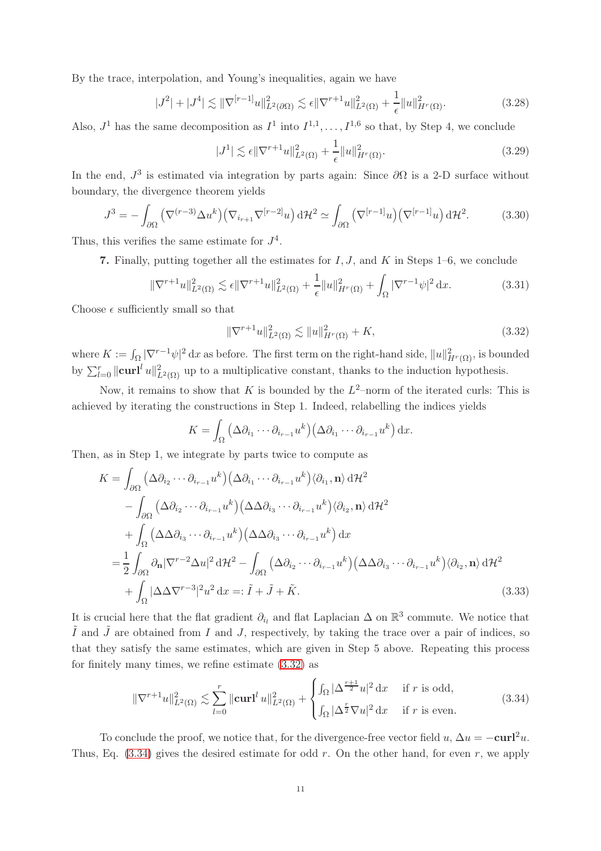By the trace, interpolation, and Young's inequalities, again we have

$$
|J^2| + |J^4| \lesssim \|\nabla^{[r-1]}u\|_{L^2(\partial\Omega)}^2 \lesssim \epsilon \|\nabla^{r+1}u\|_{L^2(\Omega)}^2 + \frac{1}{\epsilon} \|u\|_{H^r(\Omega)}^2.
$$
 (3.28)

Also,  $J^1$  has the same decomposition as  $I^1$  into  $I^{1,1}, \ldots, I^{1,6}$  so that, by Step 4, we conclude

$$
|J^1| \lesssim \epsilon \|\nabla^{r+1} u\|_{L^2(\Omega)}^2 + \frac{1}{\epsilon} \|u\|_{H^r(\Omega)}^2.
$$
 (3.29)

In the end,  $J^3$  is estimated via integration by parts again: Since  $\partial\Omega$  is a 2-D surface without boundary, the divergence theorem yields

$$
J^3 = -\int_{\partial\Omega} \left( \nabla^{(r-3)} \Delta u^k \right) \left( \nabla_{i_{r+1}} \nabla^{[r-2]} u \right) d\mathcal{H}^2 \simeq \int_{\partial\Omega} \left( \nabla^{[r-1]} u \right) \left( \nabla^{[r-1]} u \right) d\mathcal{H}^2. \tag{3.30}
$$

Thus, this verifies the same estimate for  $J^4$ .

7. Finally, putting together all the estimates for  $I, J$ , and  $K$  in Steps 1–6, we conclude

$$
\|\nabla^{r+1}u\|_{L^{2}(\Omega)}^{2} \lesssim \epsilon \|\nabla^{r+1}u\|_{L^{2}(\Omega)}^{2} + \frac{1}{\epsilon} \|u\|_{H^{r}(\Omega)}^{2} + \int_{\Omega} |\nabla^{r-1}\psi|^{2} dx.
$$
 (3.31)

Choose  $\epsilon$  sufficiently small so that

<span id="page-10-0"></span>
$$
\|\nabla^{r+1}u\|_{L^2(\Omega)}^2 \lesssim \|u\|_{H^r(\Omega)}^2 + K,\tag{3.32}
$$

where  $K := \int_{\Omega} |\nabla^{r-1}\psi|^2 dx$  as before. The first term on the right-hand side,  $||u||^2_{H^r(\Omega)}$ , is bounded by  $\sum_{l=0}^{r} ||\mathbf{curl}^{l} u||_{L^{2}(\Omega)}^{2}$  up to a multiplicative constant, thanks to the induction hypothesis.

Now, it remains to show that K is bounded by the  $L^2$ -norm of the iterated curls: This is achieved by iterating the constructions in Step 1. Indeed, relabelling the indices yields

$$
K = \int_{\Omega} \left( \Delta \partial_{i_1} \cdots \partial_{i_{r-1}} u^k \right) \left( \Delta \partial_{i_1} \cdots \partial_{i_{r-1}} u^k \right) dx.
$$

Then, as in Step 1, we integrate by parts twice to compute as

$$
K = \int_{\partial\Omega} \left( \Delta \partial_{i_2} \cdots \partial_{i_{r-1}} u^k \right) \left( \Delta \partial_{i_1} \cdots \partial_{i_{r-1}} u^k \right) \langle \partial_{i_1}, \mathbf{n} \rangle d\mathcal{H}^2
$$
  
\n
$$
- \int_{\partial\Omega} \left( \Delta \partial_{i_2} \cdots \partial_{i_{r-1}} u^k \right) \left( \Delta \Delta \partial_{i_3} \cdots \partial_{i_{r-1}} u^k \right) \langle \partial_{i_2}, \mathbf{n} \rangle d\mathcal{H}^2
$$
  
\n
$$
+ \int_{\Omega} \left( \Delta \Delta \partial_{i_3} \cdots \partial_{i_{r-1}} u^k \right) \left( \Delta \Delta \partial_{i_3} \cdots \partial_{i_{r-1}} u^k \right) dx
$$
  
\n
$$
= \frac{1}{2} \int_{\partial\Omega} \partial_{\mathbf{n}} |\nabla^{r-2} \Delta u|^2 d\mathcal{H}^2 - \int_{\partial\Omega} \left( \Delta \partial_{i_2} \cdots \partial_{i_{r-1}} u^k \right) \left( \Delta \Delta \partial_{i_3} \cdots \partial_{i_{r-1}} u^k \right) \langle \partial_{i_2}, \mathbf{n} \rangle d\mathcal{H}^2
$$
  
\n
$$
+ \int_{\Omega} |\Delta \Delta \nabla^{r-3}|^2 u^2 dx =: \tilde{I} + \tilde{J} + \tilde{K}.
$$
 (3.33)

It is crucial here that the flat gradient  $\partial_{i_l}$  and flat Laplacian  $\Delta$  on  $\mathbb{R}^3$  commute. We notice that  $\tilde{I}$  and  $\tilde{J}$  are obtained from I and J, respectively, by taking the trace over a pair of indices, so that they satisfy the same estimates, which are given in Step 5 above. Repeating this process for finitely many times, we refine estimate [\(3.32\)](#page-10-0) as

<span id="page-10-1"></span>
$$
\|\nabla^{r+1}u\|_{L^{2}(\Omega)}^{2} \lesssim \sum_{l=0}^{r} \|\mathbf{curl}^{l}u\|_{L^{2}(\Omega)}^{2} + \begin{cases} \int_{\Omega} |\Delta^{\frac{r+1}{2}}u|^{2} dx & \text{if } r \text{ is odd,} \\ \int_{\Omega} |\Delta^{\frac{r}{2}}\nabla u|^{2} dx & \text{if } r \text{ is even.} \end{cases}
$$
(3.34)

To conclude the proof, we notice that, for the divergence-free vector field u,  $\Delta u = -\mathbf{curl}^2 u$ . Thus, Eq.  $(3.34)$  gives the desired estimate for odd r. On the other hand, for even r, we apply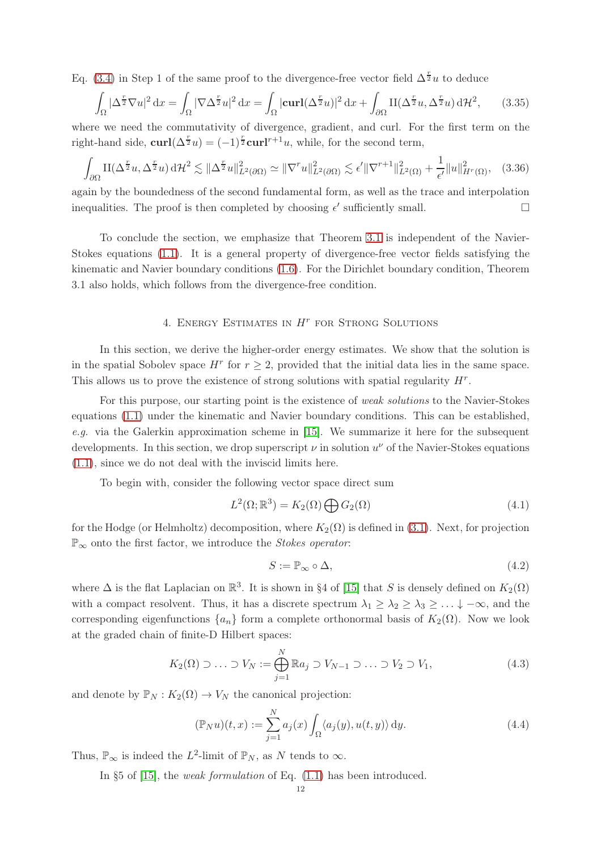Eq. [\(3.4\)](#page-6-1) in Step 1 of the same proof to the divergence-free vector field  $\Delta^{\frac{r}{2}}u$  to deduce

$$
\int_{\Omega} |\Delta^{\frac{r}{2}} \nabla u|^2 dx = \int_{\Omega} |\nabla \Delta^{\frac{r}{2}} u|^2 dx = \int_{\Omega} |\mathbf{curl}(\Delta^{\frac{r}{2}} u)|^2 dx + \int_{\partial \Omega} \mathbf{II}(\Delta^{\frac{r}{2}} u, \Delta^{\frac{r}{2}} u) d\mathcal{H}^2, \tag{3.35}
$$

where we need the commutativity of divergence, gradient, and curl. For the first term on the right-hand side,  $\mathbf{curl}(\Delta^{\frac{r}{2}}u) = (-1)^{\frac{r}{2}} \mathbf{curl}^{r+1}u$ , while, for the second term,

$$
\int_{\partial\Omega} \mathcal{H}(\Delta^{\frac{r}{2}} u, \Delta^{\frac{r}{2}} u) d\mathcal{H}^2 \lesssim \|\Delta^{\frac{r}{2}} u\|_{L^2(\partial\Omega)}^2 \simeq \|\nabla^r u\|_{L^2(\partial\Omega)}^2 \lesssim \epsilon' \|\nabla^{r+1}\|_{L^2(\Omega)}^2 + \frac{1}{\epsilon'} \|u\|_{H^r(\Omega)}^2, \quad (3.36)
$$

again by the boundedness of the second fundamental form, as well as the trace and interpolation inequalities. The proof is then completed by choosing  $\epsilon'$  sufficiently small.

To conclude the section, we emphasize that Theorem [3.1](#page-6-0) is independent of the Navier-Stokes equations [\(1.1\)](#page-0-0). It is a general property of divergence-free vector fields satisfying the kinematic and Navier boundary conditions [\(1.6\)](#page-1-2). For the Dirichlet boundary condition, Theorem 3.1 also holds, which follows from the divergence-free condition.

## 4. ENERGY ESTIMATES IN  $H^r$  for Strong Solutions

In this section, we derive the higher-order energy estimates. We show that the solution is in the spatial Sobolev space  $H^r$  for  $r \geq 2$ , provided that the initial data lies in the same space. This allows us to prove the existence of strong solutions with spatial regularity  $H<sup>r</sup>$ .

For this purpose, our starting point is the existence of weak solutions to the Navier-Stokes equations [\(1.1\)](#page-0-0) under the kinematic and Navier boundary conditions. This can be established, e.g. via the Galerkin approximation scheme in [\[15\]](#page-28-6). We summarize it here for the subsequent developments. In this section, we drop superscript  $\nu$  in solution  $u^{\nu}$  of the Navier-Stokes equations [\(1.1\)](#page-0-0), since we do not deal with the inviscid limits here.

To begin with, consider the following vector space direct sum

$$
L^{2}(\Omega; \mathbb{R}^{3}) = K_{2}(\Omega) \bigoplus G_{2}(\Omega)
$$
\n(4.1)

for the Hodge (or Helmholtz) decomposition, where  $K_2(\Omega)$  is defined in [\(3.1\)](#page-6-2). Next, for projection  $\mathbb{P}_{\infty}$  onto the first factor, we introduce the *Stokes operator*:

$$
S := \mathbb{P}_{\infty} \circ \Delta,\tag{4.2}
$$

where  $\Delta$  is the flat Laplacian on  $\mathbb{R}^3$ . It is shown in §4 of [\[15\]](#page-28-6) that S is densely defined on  $K_2(\Omega)$ with a compact resolvent. Thus, it has a discrete spectrum  $\lambda_1 \geq \lambda_2 \geq \lambda_3 \geq \ldots \downarrow -\infty$ , and the corresponding eigenfunctions  $\{a_n\}$  form a complete orthonormal basis of  $K_2(\Omega)$ . Now we look at the graded chain of finite-D Hilbert spaces:

$$
K_2(\Omega) \supset \ldots \supset V_N := \bigoplus_{j=1}^N \mathbb{R}a_j \supset V_{N-1} \supset \ldots \supset V_2 \supset V_1,
$$
\n(4.3)

and denote by  $\mathbb{P}_N : K_2(\Omega) \to V_N$  the canonical projection:

$$
(\mathbb{P}_N u)(t,x) := \sum_{j=1}^N a_j(x) \int_{\Omega} \langle a_j(y), u(t,y) \rangle \, dy.
$$
 (4.4)

Thus,  $\mathbb{P}_{\infty}$  is indeed the  $L^2$ -limit of  $\mathbb{P}_N$ , as N tends to  $\infty$ .

In §5 of [\[15\]](#page-28-6), the weak formulation of Eq. [\(1.1\)](#page-0-0) has been introduced.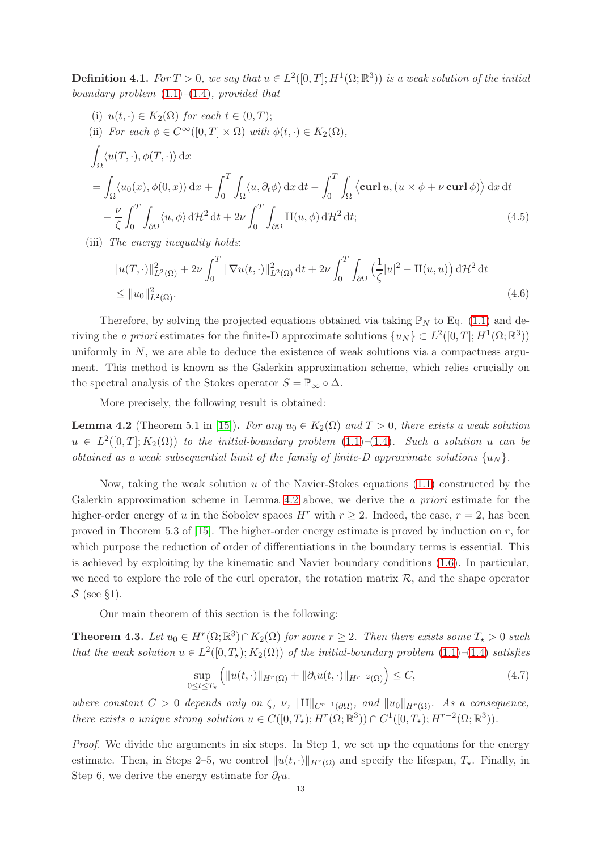**Definition 4.1.** For  $T > 0$ , we say that  $u \in L^2([0, T]; H^1(\Omega; \mathbb{R}^3))$  is a weak solution of the initial boundary problem  $(1.1)$ – $(1.4)$ , provided that

(i) 
$$
u(t, \cdot) \in K_2(\Omega)
$$
 for each  $t \in (0, T)$ ;  
\n(ii) For each  $\phi \in C^{\infty}([0, T] \times \Omega)$  with  $\phi(t, \cdot) \in K_2(\Omega)$ ,  
\n
$$
\int_{\Omega} \langle u(T, \cdot), \phi(T, \cdot) \rangle dx
$$
\n
$$
= \int_{\Omega} \langle u_0(x), \phi(0, x) \rangle dx + \int_0^T \int_{\Omega} \langle u, \partial_t \phi \rangle dx dt - \int_0^T \int_{\Omega} \langle \operatorname{curl} u, (u \times \phi + \nu \operatorname{curl} \phi) \rangle dx dt
$$
\n
$$
- \frac{\nu}{\zeta} \int_0^T \int_{\partial \Omega} \langle u, \phi \rangle d\mathcal{H}^2 dt + 2\nu \int_0^T \int_{\partial \Omega} \Pi(u, \phi) d\mathcal{H}^2 dt;
$$
\n(4.5)

(iii) The energy inequality holds:

$$
||u(T,\cdot)||_{L^{2}(\Omega)}^{2} + 2\nu \int_{0}^{T} ||\nabla u(t,\cdot)||_{L^{2}(\Omega)}^{2} dt + 2\nu \int_{0}^{T} \int_{\partial\Omega} \left(\frac{1}{\zeta}|u|^{2} - \Pi(u,u)\right) d\mathcal{H}^{2} dt
$$
  
\$\leq ||u\_{0}||\_{L^{2}(\Omega)}^{2}\$. (4.6)

Therefore, by solving the projected equations obtained via taking  $\mathbb{P}_N$  to Eq. [\(1.1\)](#page-0-0) and deriving the *a priori* estimates for the finite-D approximate solutions  $\{u_N\} \subset L^2([0,T]; H^1(\Omega;\mathbb{R}^3))$ uniformly in  $N$ , we are able to deduce the existence of weak solutions via a compactness argument. This method is known as the Galerkin approximation scheme, which relies crucially on the spectral analysis of the Stokes operator  $S = \mathbb{P}_{\infty} \circ \Delta$ .

More precisely, the following result is obtained:

<span id="page-12-0"></span>**Lemma 4.2** (Theorem 5.1 in [\[15\]](#page-28-6)). For any  $u_0 \in K_2(\Omega)$  and  $T > 0$ , there exists a weak solution  $u \in L^2([0,T];K_2(\Omega))$  to the initial-boundary problem  $(1.1)-(1.4)$  $(1.1)-(1.4)$  $(1.1)-(1.4)$ . Such a solution u can be obtained as a weak subsequential limit of the family of finite-D approximate solutions  $\{u_N\}$ .

Now, taking the weak solution u of the Navier-Stokes equations  $(1.1)$  constructed by the Galerkin approximation scheme in Lemma [4.2](#page-12-0) above, we derive the a priori estimate for the higher-order energy of u in the Sobolev spaces  $H^r$  with  $r > 2$ . Indeed, the case,  $r = 2$ , has been proved in Theorem 5.3 of [\[15\]](#page-28-6). The higher-order energy estimate is proved by induction on r, for which purpose the reduction of order of differentiations in the boundary terms is essential. This is achieved by exploiting by the kinematic and Navier boundary conditions [\(1.6\)](#page-1-2). In particular, we need to explore the role of the curl operator, the rotation matrix  $\mathcal{R}$ , and the shape operator  $S$  (see §1).

Our main theorem of this section is the following:

<span id="page-12-1"></span>**Theorem 4.3.** Let  $u_0 \in H^r(\Omega; \mathbb{R}^3) \cap K_2(\Omega)$  for some  $r \geq 2$ . Then there exists some  $T_\star > 0$  such that the weak solution  $u \in L^2([0,T_\star);K_2(\Omega))$  of the initial-boundary problem  $(1.1)$ - $(1.4)$  satisfies

$$
\sup_{0\leq t\leq T_{\star}}\left(\|u(t,\cdot)\|_{H^{r}(\Omega)}+\|\partial_t u(t,\cdot)\|_{H^{r-2}(\Omega)}\right)\leq C,\tag{4.7}
$$

where constant  $C > 0$  depends only on  $\zeta$ ,  $\nu$ ,  $\|\Pi\|_{C^{r-1}(\partial\Omega)}$ , and  $\|u_0\|_{H^r(\Omega)}$ . As a consequence, there exists a unique strong solution  $u \in C([0,T_\star); H^r(\Omega;\mathbb{R}^3)) \cap C^1([0,T_\star); H^{r-2}(\Omega;\mathbb{R}^3)).$ 

Proof. We divide the arguments in six steps. In Step 1, we set up the equations for the energy estimate. Then, in Steps 2–5, we control  $||u(t, \cdot)||_{H^r(\Omega)}$  and specify the lifespan,  $T_{\star}$ . Finally, in Step 6, we derive the energy estimate for  $\partial_t u$ .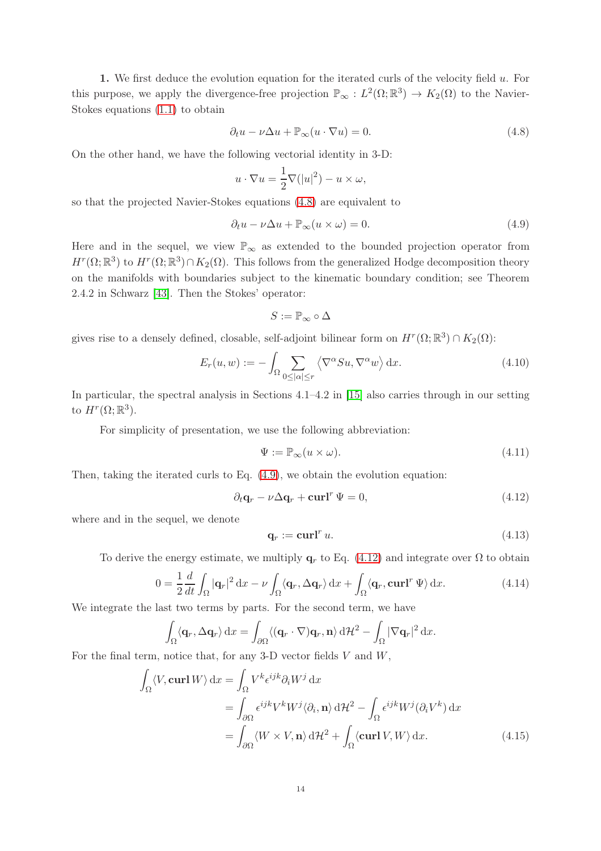1. We first deduce the evolution equation for the iterated curls of the velocity field  $u$ . For this purpose, we apply the divergence-free projection  $\mathbb{P}_{\infty}: L^2(\Omega;\mathbb{R}^3) \to K_2(\Omega)$  to the Navier-Stokes equations [\(1.1\)](#page-0-0) to obtain

<span id="page-13-0"></span>
$$
\partial_t u - \nu \Delta u + \mathbb{P}_{\infty}(u \cdot \nabla u) = 0. \tag{4.8}
$$

On the other hand, we have the following vectorial identity in 3-D:

$$
u \cdot \nabla u = \frac{1}{2} \nabla (|u|^2) - u \times \omega,
$$

so that the projected Navier-Stokes equations [\(4.8\)](#page-13-0) are equivalent to

<span id="page-13-1"></span>
$$
\partial_t u - \nu \Delta u + \mathbb{P}_{\infty}(u \times \omega) = 0. \tag{4.9}
$$

Here and in the sequel, we view  $\mathbb{P}_{\infty}$  as extended to the bounded projection operator from  $H^r(\Omega;\mathbb{R}^3)$  to  $H^r(\Omega;\mathbb{R}^3) \cap K_2(\Omega)$ . This follows from the generalized Hodge decomposition theory on the manifolds with boundaries subject to the kinematic boundary condition; see Theorem 2.4.2 in Schwarz [\[43\]](#page-29-13). Then the Stokes' operator:

$$
S:=\mathbb{P}_\infty\circ\Delta
$$

gives rise to a densely defined, closable, self-adjoint bilinear form on  $H^r(\Omega;\mathbb{R}^3) \cap K_2(\Omega)$ :

$$
E_r(u, w) := -\int_{\Omega} \sum_{0 \leq |\alpha| \leq r} \left\langle \nabla^{\alpha} S u, \nabla^{\alpha} w \right\rangle dx. \tag{4.10}
$$

In particular, the spectral analysis in Sections 4.1–4.2 in [\[15\]](#page-28-6) also carries through in our setting to  $H^r(\Omega;\mathbb{R}^3)$ .

For simplicity of presentation, we use the following abbreviation:

<span id="page-13-4"></span>
$$
\Psi := \mathbb{P}_{\infty}(u \times \omega). \tag{4.11}
$$

Then, taking the iterated curls to Eq. [\(4.9\)](#page-13-1), we obtain the evolution equation:

<span id="page-13-2"></span>
$$
\partial_t \mathbf{q}_r - \nu \Delta \mathbf{q}_r + \mathbf{curl}^r \Psi = 0, \tag{4.12}
$$

where and in the sequel, we denote

<span id="page-13-5"></span>
$$
\mathbf{q}_r := \mathbf{curl}^r u. \tag{4.13}
$$

To derive the energy estimate, we multiply  $q_r$  to Eq. [\(4.12\)](#page-13-2) and integrate over  $\Omega$  to obtain

<span id="page-13-3"></span>
$$
0 = \frac{1}{2} \frac{d}{dt} \int_{\Omega} |\mathbf{q}_r|^2 dx - \nu \int_{\Omega} \langle \mathbf{q}_r, \Delta \mathbf{q}_r \rangle dx + \int_{\Omega} \langle \mathbf{q}_r, \mathbf{curl}^r \, \Psi \rangle dx.
$$
 (4.14)

We integrate the last two terms by parts. For the second term, we have

$$
\int_{\Omega} \langle \mathbf{q}_r, \Delta \mathbf{q}_r \rangle \, \mathrm{d}x = \int_{\partial \Omega} \langle (\mathbf{q}_r \cdot \nabla) \mathbf{q}_r, \mathbf{n} \rangle \, \mathrm{d}H^2 - \int_{\Omega} |\nabla \mathbf{q}_r|^2 \, \mathrm{d}x.
$$

For the final term, notice that, for any 3-D vector fields  $V$  and  $W$ ,

$$
\int_{\Omega} \langle V, \operatorname{curl} W \rangle \, \mathrm{d}x = \int_{\Omega} V^k \epsilon^{ijk} \partial_i W^j \, \mathrm{d}x \n= \int_{\partial \Omega} \epsilon^{ijk} V^k W^j \langle \partial_i, \mathbf{n} \rangle \, \mathrm{d}H^2 - \int_{\Omega} \epsilon^{ijk} W^j (\partial_i V^k) \, \mathrm{d}x \n= \int_{\partial \Omega} \langle W \times V, \mathbf{n} \rangle \, \mathrm{d}H^2 + \int_{\Omega} \langle \operatorname{curl} V, W \rangle \, \mathrm{d}x.
$$
\n(4.15)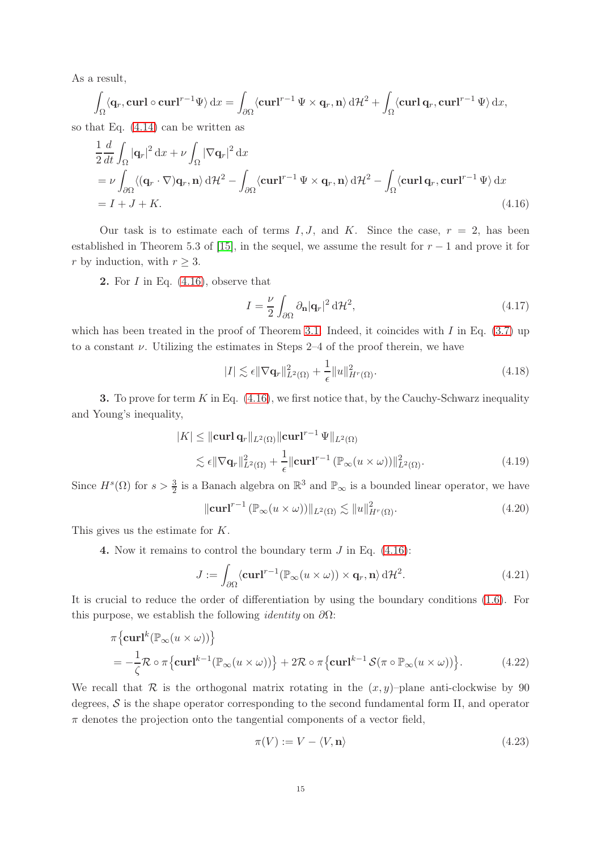As a result,

$$
\int_{\Omega} \langle \mathbf{q}_r, \mathbf{curl} \circ \mathbf{curl}^{r-1} \Psi \rangle \, \mathrm{d}x = \int_{\partial \Omega} \langle \mathbf{curl}^{r-1} \Psi \times \mathbf{q}_r, \mathbf{n} \rangle \, \mathrm{d}H^2 + \int_{\Omega} \langle \mathbf{curl} \mathbf{q}_r, \mathbf{curl}^{r-1} \Psi \rangle \, \mathrm{d}x,
$$

so that Eq. [\(4.14\)](#page-13-3) can be written as

$$
\frac{1}{2}\frac{d}{dt}\int_{\Omega}|\mathbf{q}_r|^2 dx + \nu \int_{\Omega} |\nabla \mathbf{q}_r|^2 dx
$$
\n
$$
= \nu \int_{\partial\Omega} \langle (\mathbf{q}_r \cdot \nabla) \mathbf{q}_r, \mathbf{n} \rangle d\mathcal{H}^2 - \int_{\partial\Omega} \langle \mathbf{curl}^{r-1} \Psi \times \mathbf{q}_r, \mathbf{n} \rangle d\mathcal{H}^2 - \int_{\Omega} \langle \mathbf{curl} \mathbf{q}_r, \mathbf{curl}^{r-1} \Psi \rangle dx
$$
\n
$$
= I + J + K. \tag{4.16}
$$

Our task is to estimate each of terms  $I, J$ , and K. Since the case,  $r = 2$ , has been established in Theorem 5.3 of [\[15\]](#page-28-6), in the sequel, we assume the result for  $r-1$  and prove it for r by induction, with  $r \geq 3$ .

2. For  $I$  in Eq.  $(4.16)$ , observe that

<span id="page-14-0"></span>
$$
I = \frac{\nu}{2} \int_{\partial \Omega} \partial_{\mathbf{n}} |\mathbf{q}_r|^2 d\mathcal{H}^2,\tag{4.17}
$$

which has been treated in the proof of Theorem [3.1.](#page-6-0) Indeed, it coincides with I in Eq.  $(3.7)$  up to a constant  $\nu$ . Utilizing the estimates in Steps 2–4 of the proof therein, we have

<span id="page-14-3"></span>
$$
|I| \lesssim \epsilon \|\nabla \mathbf{q}_r\|_{L^2(\Omega)}^2 + \frac{1}{\epsilon} \|u\|_{H^r(\Omega)}^2.
$$
\n(4.18)

**3.** To prove for term  $K$  in Eq.  $(4.16)$ , we first notice that, by the Cauchy-Schwarz inequality and Young's inequality,

$$
|K| \leq ||\mathbf{curl}\,\mathbf{q}_r||_{L^2(\Omega)} ||\mathbf{curl}^{r-1}\,\Psi||_{L^2(\Omega)}
$$
  
\$\leq \epsilon ||\nabla \mathbf{q}\_r||\_{L^2(\Omega)}^2 + \frac{1}{\epsilon} ||\mathbf{curl}^{r-1}\,(\mathbb{P}\_{\infty}(u \times \omega))||\_{L^2(\Omega)}^2\$. (4.19)

Since  $H^s(\Omega)$  for  $s > \frac{3}{2}$  is a Banach algebra on  $\mathbb{R}^3$  and  $\mathbb{P}_{\infty}$  is a bounded linear operator, we have

<span id="page-14-2"></span>
$$
\|\mathbf{curl}^{r-1} \left(\mathbb{P}_{\infty}(u \times \omega)\right)\|_{L^{2}(\Omega)} \lesssim \|u\|_{H^{r}(\Omega)}^{2}.
$$
\n(4.20)

This gives us the estimate for K.

4. Now it remains to control the boundary term  $J$  in Eq.  $(4.16)$ :

$$
J := \int_{\partial\Omega} \langle \mathbf{curl}^{r-1} (\mathbb{P}_{\infty}(u \times \omega)) \times \mathbf{q}_r, \mathbf{n} \rangle d\mathcal{H}^2.
$$
 (4.21)

It is crucial to reduce the order of differentiation by using the boundary conditions [\(1.6\)](#page-1-2). For this purpose, we establish the following *identity* on  $\partial\Omega$ :

$$
\pi \left\{ \mathbf{curl}^{k} (\mathbb{P}_{\infty} (u \times \omega)) \right\}
$$
  
=  $-\frac{1}{\zeta} \mathcal{R} \circ \pi \left\{ \mathbf{curl}^{k-1} (\mathbb{P}_{\infty} (u \times \omega)) \right\} + 2 \mathcal{R} \circ \pi \left\{ \mathbf{curl}^{k-1} \mathcal{S} (\pi \circ \mathbb{P}_{\infty} (u \times \omega)) \right\}.$  (4.22)

We recall that  $\mathcal R$  is the orthogonal matrix rotating in the  $(x, y)$ –plane anti-clockwise by 90 degrees,  $S$  is the shape operator corresponding to the second fundamental form II, and operator  $\pi$  denotes the projection onto the tangential components of a vector field,

<span id="page-14-1"></span>
$$
\pi(V) := V - \langle V, \mathbf{n} \rangle \tag{4.23}
$$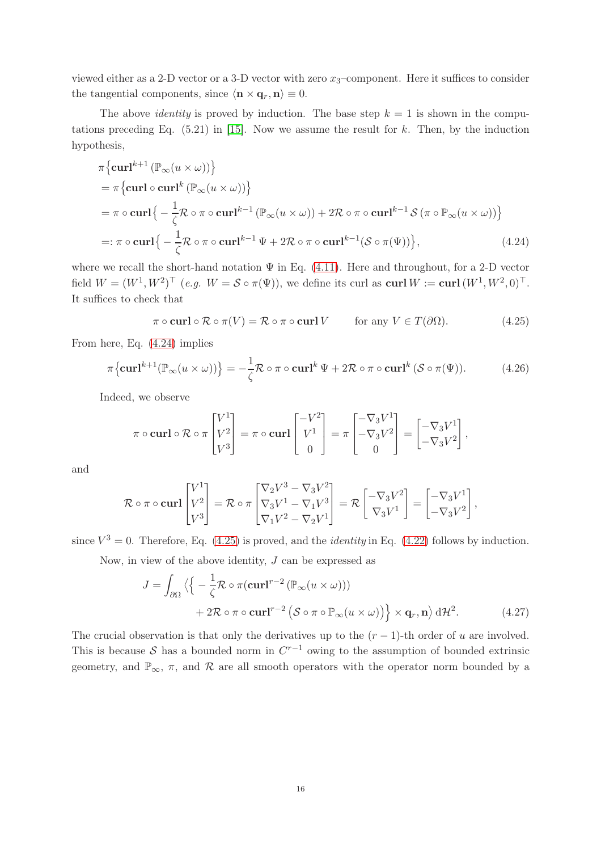viewed either as a 2-D vector or a 3-D vector with zero  $x_3$ –component. Here it suffices to consider the tangential components, since  $\langle \mathbf{n} \times \mathbf{q}_r, \mathbf{n} \rangle \equiv 0$ .

The above *identity* is proved by induction. The base step  $k = 1$  is shown in the computations preceding Eq.  $(5.21)$  in [\[15\]](#page-28-6). Now we assume the result for k. Then, by the induction hypothesis,

$$
\pi \{ \operatorname{curl}^{k+1} \left( \mathbb{P}_{\infty} (u \times \omega) \right) \}
$$
\n
$$
= \pi \{ \operatorname{curl} \circ \operatorname{curl}^k \left( \mathbb{P}_{\infty} (u \times \omega) \right) \}
$$
\n
$$
= \pi \circ \operatorname{curl} \left\{ -\frac{1}{\zeta} \mathcal{R} \circ \pi \circ \operatorname{curl}^{k-1} \left( \mathbb{P}_{\infty} (u \times \omega) \right) + 2 \mathcal{R} \circ \pi \circ \operatorname{curl}^{k-1} \mathcal{S} \left( \pi \circ \mathbb{P}_{\infty} (u \times \omega) \right) \right\}
$$
\n
$$
=: \pi \circ \operatorname{curl} \left\{ -\frac{1}{\zeta} \mathcal{R} \circ \pi \circ \operatorname{curl}^{k-1} \Psi + 2 \mathcal{R} \circ \pi \circ \operatorname{curl}^{k-1} (\mathcal{S} \circ \pi(\Psi)) \right\}, \tag{4.24}
$$

where we recall the short-hand notation  $\Psi$  in Eq. [\(4.11\)](#page-13-4). Here and throughout, for a 2-D vector field  $W = (W^1, W^2)^\top$   $(e.g. W = S \circ \pi(\Psi))$ , we define its curl as  $\operatorname{curl} W := \operatorname{curl}(W^1, W^2, 0)^\top$ . It suffices to check that

<span id="page-15-1"></span><span id="page-15-0"></span>
$$
\pi \circ \operatorname{curl} \circ \mathcal{R} \circ \pi(V) = \mathcal{R} \circ \pi \circ \operatorname{curl} V \qquad \text{for any } V \in T(\partial \Omega). \tag{4.25}
$$

From here, Eq. [\(4.24\)](#page-15-0) implies

$$
\pi \left\{ \operatorname{curl}^{k+1} (\mathbb{P}_{\infty} (u \times \omega)) \right\} = -\frac{1}{\zeta} \mathcal{R} \circ \pi \circ \operatorname{curl}^{k} \Psi + 2 \mathcal{R} \circ \pi \circ \operatorname{curl}^{k} (\mathcal{S} \circ \pi(\Psi)). \tag{4.26}
$$

Indeed, we observe

$$
\pi \circ \operatorname{curl} \circ \mathcal{R} \circ \pi \begin{bmatrix} V^1 \\ V^2 \\ V^3 \end{bmatrix} = \pi \circ \operatorname{curl} \begin{bmatrix} -V^2 \\ V^1 \\ 0 \end{bmatrix} = \pi \begin{bmatrix} -\nabla_3 V^1 \\ -\nabla_3 V^2 \\ 0 \end{bmatrix} = \begin{bmatrix} -\nabla_3 V^1 \\ -\nabla_3 V^2 \end{bmatrix},
$$

and

$$
\mathcal{R} \circ \pi \circ \mathbf{curl} \begin{bmatrix} V^1 \\ V^2 \\ V^3 \end{bmatrix} = \mathcal{R} \circ \pi \begin{bmatrix} \nabla_2 V^3 - \nabla_3 V^2 \\ \nabla_3 V^1 - \nabla_1 V^3 \\ \nabla_1 V^2 - \nabla_2 V^1 \end{bmatrix} = \mathcal{R} \begin{bmatrix} -\nabla_3 V^2 \\ \nabla_3 V^1 \end{bmatrix} = \begin{bmatrix} -\nabla_3 V^1 \\ -\nabla_3 V^2 \end{bmatrix},
$$

since  $V^3 = 0$ . Therefore, Eq. [\(4.25\)](#page-15-1) is proved, and the *identity* in Eq. [\(4.22\)](#page-14-1) follows by induction. Now, in view of the above identity,  $J$  can be expressed as

$$
J = \int_{\partial\Omega} \left\langle \left\{ -\frac{1}{\zeta} \mathcal{R} \circ \pi (\mathbf{curl}^{r-2} \left( \mathbb{P}_{\infty} (u \times \omega) \right) \right) \right. \\ \left. + 2\mathcal{R} \circ \pi \circ \mathbf{curl}^{r-2} \left( \mathcal{S} \circ \pi \circ \mathbb{P}_{\infty} (u \times \omega) \right) \right\} \times \mathbf{q}_r, \mathbf{n} \right\rangle d\mathcal{H}^2. \tag{4.27}
$$

The crucial observation is that only the derivatives up to the  $(r-1)$ -th order of u are involved. This is because S has a bounded norm in  $C^{r-1}$  owing to the assumption of bounded extrinsic geometry, and  $\mathbb{P}_{\infty}$ ,  $\pi$ , and  $\mathcal R$  are all smooth operators with the operator norm bounded by a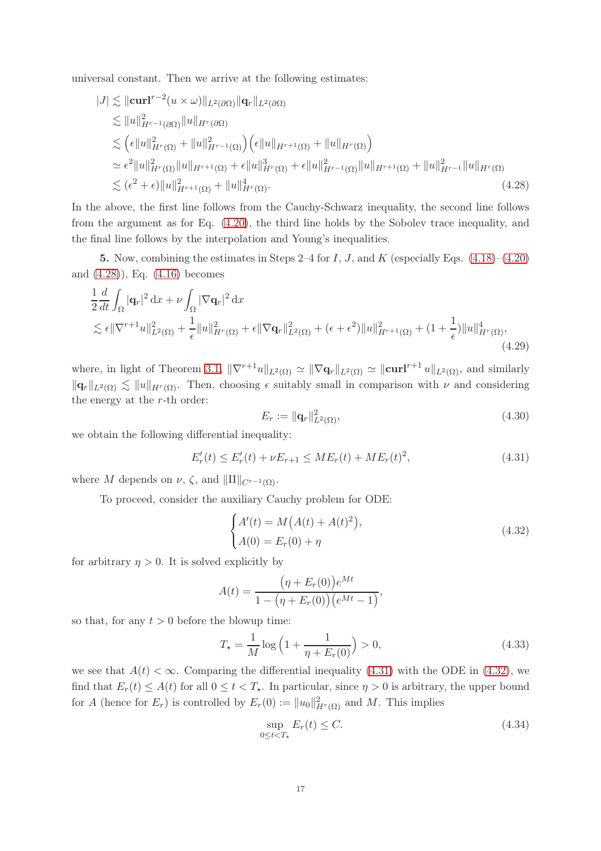universal constant. Then we arrive at the following estimates:

$$
|J| \lesssim ||\mathbf{curl}^{r-2}(u \times \omega)||_{L^{2}(\partial\Omega)} ||\mathbf{q}_{r}||_{L^{2}(\partial\Omega)}\lesssim ||u||_{H^{r-1}(\partial\Omega)}^{2} ||u||_{H^{r}(\partial\Omega)}\lesssim (\epsilon ||u||_{H^{r}(\Omega)}^{2} + ||u||_{H^{r-1}(\Omega)}^{2}) (\epsilon ||u||_{H^{r+1}(\Omega)} + ||u||_{H^{r}(\Omega)})\simeq \epsilon^{2} ||u||_{H^{r}(\Omega)}^{2} ||u||_{H^{r+1}(\Omega)} + \epsilon ||u||_{H^{r}(\Omega)}^{3} + \epsilon ||u||_{H^{r-1}(\Omega)}^{2} ||u||_{H^{r+1}(\Omega)} + ||u||_{H^{r-1}}^{2} ||u||_{H^{r}(\Omega)}\lesssim (\epsilon^{2} + \epsilon) ||u||_{H^{r+1}(\Omega)}^{2} + ||u||_{H^{r}(\Omega)}^{4}.
$$
\n(4.28)

In the above, the first line follows from the Cauchy-Schwarz inequality, the second line follows from the argument as for Eq. [\(4.20\)](#page-14-2), the third line holds by the Sobolev trace inequality, and the final line follows by the interpolation and Young's inequalities.

5. Now, combining the estimates in Steps 2–4 for  $I, J$ , and  $K$  (especially Eqs.  $(4.18)–(4.20)$  $(4.18)–(4.20)$ ) and [\(4.28\)](#page-16-0)), Eq. [\(4.16\)](#page-14-0) becomes

$$
\frac{1}{2} \frac{d}{dt} \int_{\Omega} |\mathbf{q}_r|^2 \, dx + \nu \int_{\Omega} |\nabla \mathbf{q}_r|^2 \, dx \n\lesssim \epsilon \|\nabla^{r+1} u\|_{L^2(\Omega)}^2 + \frac{1}{\epsilon} \|u\|_{H^r(\Omega)}^2 + \epsilon \|\nabla \mathbf{q}_r\|_{L^2(\Omega)}^2 + (\epsilon + \epsilon^2) \|u\|_{H^{r+1}(\Omega)}^2 + (1 + \frac{1}{\epsilon}) \|u\|_{H^r(\Omega)}^4,
$$
\n(4.29)

where, in light of Theorem [3.1,](#page-6-0)  $\|\nabla^{r+1}u\|_{L^2(\Omega)} \simeq \|\nabla \mathbf{q}_r\|_{L^2(\Omega)} \simeq \|\mathbf{curl}^{r+1}u\|_{L^2(\Omega)}$ , and similarly  $\|\mathbf{q}_r\|_{L^2(\Omega)} \lesssim \|u\|_{H^r(\Omega)}$ . Then, choosing  $\epsilon$  suitably small in comparison with  $\nu$  and considering the energy at the r-th order:

<span id="page-16-0"></span>
$$
E_r := \|\mathbf{q}_r\|_{L^2(\Omega)}^2,\tag{4.30}
$$

we obtain the following differential inequality:

<span id="page-16-1"></span>
$$
E'_r(t) \le E'_r(t) + \nu E_{r+1} \le ME_r(t) + ME_r(t)^2,
$$
\n(4.31)

where M depends on  $\nu$ ,  $\zeta$ , and  $\|\text{II}\|_{C^{r-1}(\Omega)}$ .

To proceed, consider the auxiliary Cauchy problem for ODE:

<span id="page-16-2"></span>
$$
\begin{cases}\nA'(t) = M(A(t) + A(t)^2), \\
A(0) = E_r(0) + \eta\n\end{cases}
$$
\n(4.32)

for arbitrary  $\eta > 0$ . It is solved explicitly by

$$
A(t) = \frac{(\eta + E_r(0))e^{Mt}}{1 - (\eta + E_r(0))(e^{Mt} - 1)},
$$

so that, for any  $t > 0$  before the blowup time:

<span id="page-16-4"></span>
$$
T_{\star} = \frac{1}{M} \log \left( 1 + \frac{1}{\eta + E_r(0)} \right) > 0,
$$
\n(4.33)

we see that  $A(t) < \infty$ . Comparing the differential inequality [\(4.31\)](#page-16-1) with the ODE in [\(4.32\)](#page-16-2), we find that  $E_r(t) \leq A(t)$  for all  $0 \leq t < T_{\star}$ . In particular, since  $\eta > 0$  is arbitrary, the upper bound for A (hence for  $E_r$ ) is controlled by  $E_r(0) := ||u_0||^2_{H^r(\Omega)}$  and M. This implies

<span id="page-16-3"></span>
$$
\sup_{0 \le t < T_\star} E_r(t) \le C. \tag{4.34}
$$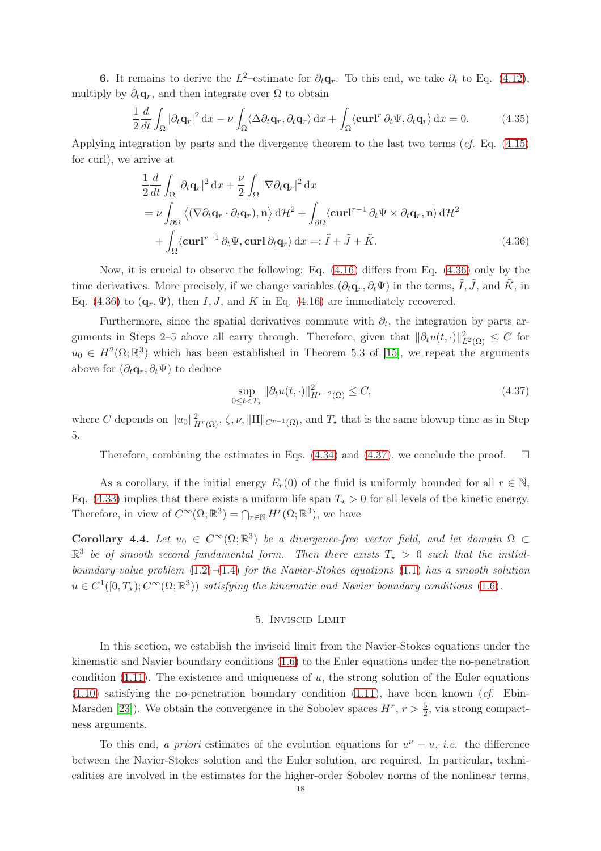**6.** It remains to derive the  $L^2$ -estimate for  $\partial_t \mathbf{q}_r$ . To this end, we take  $\partial_t$  to Eq. [\(4.12\)](#page-13-2), multiply by  $\partial_t \mathbf{q}_r$ , and then integrate over  $\Omega$  to obtain

$$
\frac{1}{2}\frac{d}{dt}\int_{\Omega}|\partial_t\mathbf{q}_r|^2 dx - \nu \int_{\Omega} \langle \Delta \partial_t \mathbf{q}_r, \partial_t \mathbf{q}_r \rangle dx + \int_{\Omega} \langle \mathbf{curl}^r \partial_t \Psi, \partial_t \mathbf{q}_r \rangle dx = 0.
$$
 (4.35)

Applying integration by parts and the divergence theorem to the last two terms (cf. Eq. [\(4.15\)](#page-13-5) for curl), we arrive at

$$
\frac{1}{2} \frac{d}{dt} \int_{\Omega} |\partial_t \mathbf{q}_r|^2 dx + \frac{\nu}{2} \int_{\Omega} |\nabla \partial_t \mathbf{q}_r|^2 dx
$$
\n
$$
= \nu \int_{\partial \Omega} \left\langle (\nabla \partial_t \mathbf{q}_r \cdot \partial_t \mathbf{q}_r), \mathbf{n} \right\rangle d\mathcal{H}^2 + \int_{\partial \Omega} \left\langle \mathbf{curl}^{r-1} \partial_t \Psi \times \partial_t \mathbf{q}_r, \mathbf{n} \right\rangle d\mathcal{H}^2
$$
\n
$$
+ \int_{\Omega} \left\langle \mathbf{curl}^{r-1} \partial_t \Psi, \mathbf{curl} \partial_t \mathbf{q}_r \right\rangle dx =: \tilde{I} + \tilde{J} + \tilde{K}.
$$
\n(4.36)

Now, it is crucial to observe the following: Eq. [\(4.16\)](#page-14-0) differs from Eq. [\(4.36\)](#page-17-0) only by the time derivatives. More precisely, if we change variables  $(\partial_t \mathbf{q}_r, \partial_t \Psi)$  in the terms,  $\tilde{I}, \tilde{J}$ , and  $\tilde{K}$ , in Eq. [\(4.36\)](#page-17-0) to  $(\mathbf{q}_r, \Psi)$ , then I, J, and K in Eq. [\(4.16\)](#page-14-0) are immediately recovered.

Furthermore, since the spatial derivatives commute with  $\partial_t$ , the integration by parts arguments in Steps 2–5 above all carry through. Therefore, given that  $\|\partial_t u(t, \cdot)\|_{L^2(\Omega)}^2 \leq C$  for  $u_0 \in H^2(\Omega;\mathbb{R}^3)$  which has been established in Theorem 5.3 of [\[15\]](#page-28-6), we repeat the arguments above for  $(\partial_t \mathbf{q}_r, \partial_t \Psi)$  to deduce

<span id="page-17-1"></span><span id="page-17-0"></span>
$$
\sup_{0\leq t
$$

where C depends on  $||u_0||^2_{H^r(\Omega)}, \zeta, \nu, ||H||_{C^{r-1}(\Omega)},$  and  $T_{\star}$  that is the same blowup time as in Step 5.

Therefore, combining the estimates in Eqs.  $(4.34)$  and  $(4.37)$ , we conclude the proof.  $\Box$ 

As a corollary, if the initial energy  $E_r(0)$  of the fluid is uniformly bounded for all  $r \in \mathbb{N}$ , Eq. [\(4.33\)](#page-16-4) implies that there exists a uniform life span  $T_{\star} > 0$  for all levels of the kinetic energy. Therefore, in view of  $C^{\infty}(\Omega;\mathbb{R}^3) = \bigcap_{r \in \mathbb{N}} H^r(\Omega;\mathbb{R}^3)$ , we have

**Corollary 4.4.** Let  $u_0 \in C^{\infty}(\Omega; \mathbb{R}^3)$  be a divergence-free vector field, and let domain  $\Omega \subset$  $\mathbb{R}^3$  be of smooth second fundamental form. Then there exists  $T_{\star} > 0$  such that the initialboundary value problem  $(1.2)$ – $(1.4)$  for the Navier-Stokes equations  $(1.1)$  has a smooth solution  $u \in C^1([0,T_\star); C^\infty(\Omega;\mathbb{R}^3))$  satisfying the kinematic and Navier boundary conditions [\(1.6\)](#page-1-2).

## 5. Inviscid Limit

In this section, we establish the inviscid limit from the Navier-Stokes equations under the kinematic and Navier boundary conditions [\(1.6\)](#page-1-2) to the Euler equations under the no-penetration condition  $(1.11)$ . The existence and uniqueness of u, the strong solution of the Euler equations  $(1.10)$  satisfying the no-penetration boundary condition  $(1.11)$ , have been known  $(cf.$  Ebin-Marsden [\[23\]](#page-28-25)). We obtain the convergence in the Sobolev spaces  $H^r$ ,  $r > \frac{5}{2}$ , via strong compactness arguments.

To this end, a priori estimates of the evolution equations for  $u^{\nu} - u$ , *i.e.* the difference between the Navier-Stokes solution and the Euler solution, are required. In particular, technicalities are involved in the estimates for the higher-order Sobolev norms of the nonlinear terms,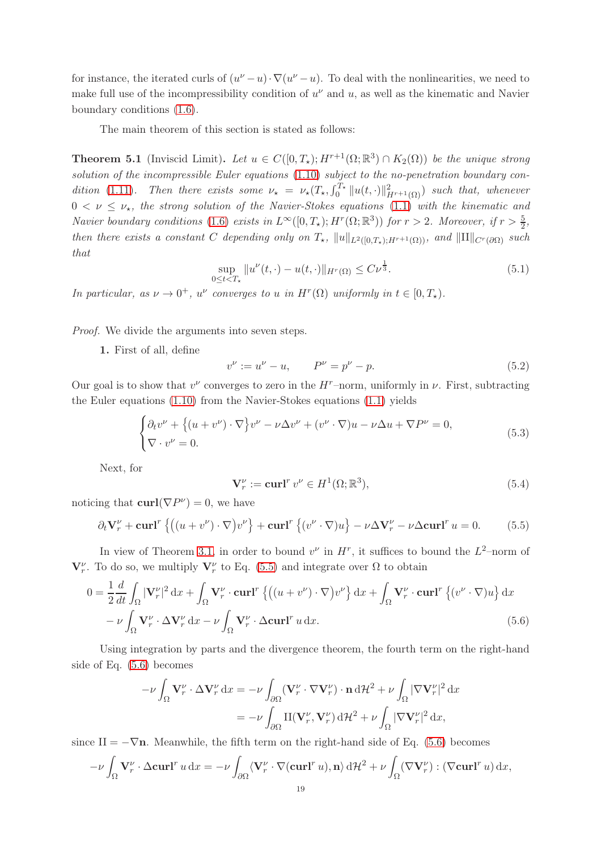for instance, the iterated curls of  $(u^{\nu}-u)\cdot \nabla(u^{\nu}-u)$ . To deal with the nonlinearities, we need to make full use of the incompressibility condition of  $u^{\nu}$  and u, as well as the kinematic and Navier boundary conditions [\(1.6\)](#page-1-2).

The main theorem of this section is stated as follows:

<span id="page-18-0"></span>**Theorem 5.1** (Inviscid Limit). Let  $u \in C([0,T_\star); H^{r+1}(\Omega;\mathbb{R}^3) \cap K_2(\Omega))$  be the unique strong solution of the incompressible Euler equations [\(1.10\)](#page-3-1) subject to the no-penetration boundary con-dition [\(1.11\)](#page-3-0). Then there exists some  $\nu_{\star} = \nu_{\star}(T_{\star}, \int_0^{T_{\star}} ||u(t, \cdot)||_{H^{r+1}(\Omega)}^2)$  such that, whenever  $0 < \nu \leq \nu_{\star}$ , the strong solution of the Navier-Stokes equations [\(1.1\)](#page-0-0) with the kinematic and Navier boundary conditions [\(1.6\)](#page-1-2) exists in  $L^{\infty}([0,T_{\star}); H^r(\Omega;\mathbb{R}^3))$  for  $r > 2$ . Moreover, if  $r > \frac{5}{2}$ , then there exists a constant C depending only on  $T_{\star}$ ,  $||u||_{L^2([0,T_{\star}]:H^{r+1}(\Omega))}$ , and  $||H||_{C^r(\partial\Omega)}$  such that

$$
\sup_{0 \le t < T_{\star}} \|u^{\nu}(t, \cdot) - u(t, \cdot)\|_{H^{r}(\Omega)} \le C\nu^{\frac{1}{3}}.
$$
\n(5.1)

In particular, as  $\nu \to 0^+$ ,  $u^{\nu}$  converges to u in  $H^r(\Omega)$  uniformly in  $t \in [0, T_{\star})$ .

Proof. We divide the arguments into seven steps.

1. First of all, define

$$
v^{\nu} := u^{\nu} - u, \qquad P^{\nu} = p^{\nu} - p. \tag{5.2}
$$

Our goal is to show that  $v^{\nu}$  converges to zero in the  $H^{\nu}$ -norm, uniformly in  $\nu$ . First, subtracting the Euler equations [\(1.10\)](#page-3-1) from the Navier-Stokes equations [\(1.1\)](#page-0-0) yields

$$
\begin{cases} \partial_t v^{\nu} + \left\{ (u + v^{\nu}) \cdot \nabla \right\} v^{\nu} - \nu \Delta v^{\nu} + (v^{\nu} \cdot \nabla) u - \nu \Delta u + \nabla P^{\nu} = 0, \\ \nabla \cdot v^{\nu} = 0. \end{cases}
$$
(5.3)

Next, for

<span id="page-18-2"></span>
$$
\mathbf{V}_r^{\nu} := \mathbf{curl}^r v^{\nu} \in H^1(\Omega; \mathbb{R}^3),\tag{5.4}
$$

noticing that **curl**( $\nabla P^{\nu}$ ) = 0, we have

<span id="page-18-1"></span>
$$
\partial_t \mathbf{V}_r^{\nu} + \mathbf{curl}^r \left\{ \left( (u + v^{\nu}) \cdot \nabla \right) v^{\nu} \right\} + \mathbf{curl}^r \left\{ (v^{\nu} \cdot \nabla) u \right\} - \nu \Delta \mathbf{V}_r^{\nu} - \nu \Delta \mathbf{curl}^r u = 0. \tag{5.5}
$$

In view of Theorem [3.1,](#page-6-0) in order to bound  $v^{\nu}$  in  $H^r$ , it suffices to bound the  $L^2$ -norm of  $\mathbf{V}_r^{\nu}$ . To do so, we multiply  $\mathbf{V}_r^{\nu}$  to Eq. [\(5.5\)](#page-18-1) and integrate over  $\Omega$  to obtain

$$
0 = \frac{1}{2} \frac{d}{dt} \int_{\Omega} |\mathbf{V}_r^{\nu}|^2 dx + \int_{\Omega} \mathbf{V}_r^{\nu} \cdot \mathbf{curl}^r \left\{ \left( (u + v^{\nu}) \cdot \nabla \right) v^{\nu} \right\} dx + \int_{\Omega} \mathbf{V}_r^{\nu} \cdot \mathbf{curl}^r \left\{ (v^{\nu} \cdot \nabla) u \right\} dx
$$

$$
- \nu \int_{\Omega} \mathbf{V}_r^{\nu} \cdot \Delta \mathbf{V}_r^{\nu} dx - \nu \int_{\Omega} \mathbf{V}_r^{\nu} \cdot \Delta \mathbf{curl}^r u dx. \tag{5.6}
$$

Using integration by parts and the divergence theorem, the fourth term on the right-hand side of Eq. [\(5.6\)](#page-18-2) becomes

$$
-\nu \int_{\Omega} \mathbf{V}_r^{\nu} \cdot \Delta \mathbf{V}_r^{\nu} dx = -\nu \int_{\partial \Omega} (\mathbf{V}_r^{\nu} \cdot \nabla \mathbf{V}_r^{\nu}) \cdot \mathbf{n} d\mathcal{H}^2 + \nu \int_{\Omega} |\nabla \mathbf{V}_r^{\nu}|^2 dx
$$
  
= 
$$
-\nu \int_{\partial \Omega} \mathbf{I} (\mathbf{V}_r^{\nu}, \mathbf{V}_r^{\nu}) d\mathcal{H}^2 + \nu \int_{\Omega} |\nabla \mathbf{V}_r^{\nu}|^2 dx,
$$

since  $II = -\nabla n$ . Meanwhile, the fifth term on the right-hand side of Eq. [\(5.6\)](#page-18-2) becomes

$$
-\nu \int_{\Omega} \mathbf{V}_r^{\nu} \cdot \Delta \mathbf{curl}^r u \, \mathrm{d}x = -\nu \int_{\partial \Omega} \langle \mathbf{V}_r^{\nu} \cdot \nabla (\mathbf{curl}^r u), \mathbf{n} \rangle \, \mathrm{d}t^2 + \nu \int_{\Omega} (\nabla \mathbf{V}_r^{\nu}) : (\nabla \mathbf{curl}^r u) \, \mathrm{d}x,
$$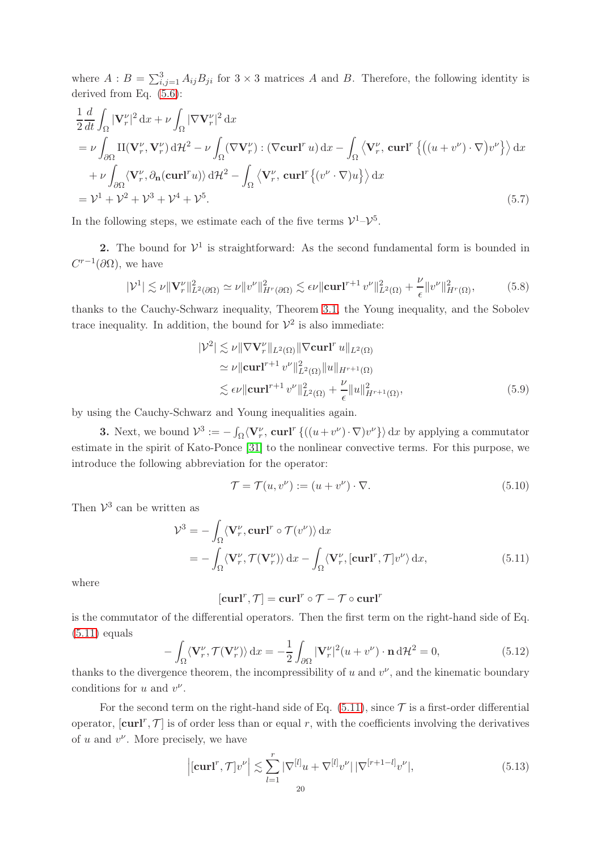where  $A: B = \sum_{i,j=1}^{3} A_{ij}B_{ji}$  for  $3 \times 3$  matrices A and B. Therefore, the following identity is derived from Eq. [\(5.6\)](#page-18-2):

$$
\frac{1}{2} \frac{d}{dt} \int_{\Omega} |\mathbf{V}_r^{\nu}|^2 dx + \nu \int_{\Omega} |\nabla \mathbf{V}_r^{\nu}|^2 dx
$$
\n
$$
= \nu \int_{\partial \Omega} \mathbf{II}(\mathbf{V}_r^{\nu}, \mathbf{V}_r^{\nu}) d\mathcal{H}^2 - \nu \int_{\Omega} (\nabla \mathbf{V}_r^{\nu}) : (\nabla \mathbf{curl}^r u) dx - \int_{\Omega} \left\langle \mathbf{V}_r^{\nu}, \mathbf{curl}^r \left\{ \left( (u + v^{\nu}) \cdot \nabla \right) v^{\nu} \right\} \right\rangle dx
$$
\n
$$
+ \nu \int_{\partial \Omega} \left\langle \mathbf{V}_r^{\nu}, \partial_{\mathbf{n}} (\mathbf{curl}^r u) \right\rangle d\mathcal{H}^2 - \int_{\Omega} \left\langle \mathbf{V}_r^{\nu}, \mathbf{curl}^r \left\{ (v^{\nu} \cdot \nabla) u \right\} \right\rangle dx
$$
\n
$$
= \mathcal{V}^1 + \mathcal{V}^2 + \mathcal{V}^3 + \mathcal{V}^4 + \mathcal{V}^5. \tag{5.7}
$$

In the following steps, we estimate each of the five terms  $\mathcal{V}^1-\mathcal{V}^5$ .

**2.** The bound for  $V^1$  is straightforward: As the second fundamental form is bounded in  $C^{r-1}(\partial\Omega)$ , we have

<span id="page-19-1"></span>
$$
|\mathcal{V}^1| \lesssim \nu \| \mathbf{V}_r^{\nu} \|_{L^2(\partial \Omega)}^2 \simeq \nu \| v^{\nu} \|_{H^r(\partial \Omega)}^2 \lesssim \epsilon \nu \| \mathbf{curl}^{r+1} v^{\nu} \|_{L^2(\Omega)}^2 + \frac{\nu}{\epsilon} \| v^{\nu} \|_{H^r(\Omega)}^2, \tag{5.8}
$$

thanks to the Cauchy-Schwarz inequality, Theorem [3.1,](#page-6-0) the Young inequality, and the Sobolev trace inequality. In addition, the bound for  $\mathcal{V}^2$  is also immediate:

<span id="page-19-3"></span>
$$
|\mathcal{V}^2| \lesssim \nu \|\nabla \mathbf{V}_r^{\nu}\|_{L^2(\Omega)} \|\nabla \mathbf{curl}^r u\|_{L^2(\Omega)}
$$
  
\n
$$
\simeq \nu \|\mathbf{curl}^{r+1} v^{\nu}\|_{L^2(\Omega)}^2 \|u\|_{H^{r+1}(\Omega)}
$$
  
\n
$$
\lesssim \epsilon \nu \|\mathbf{curl}^{r+1} v^{\nu}\|_{L^2(\Omega)}^2 + \frac{\nu}{\epsilon} \|u\|_{H^{r+1}(\Omega)}^2,
$$
\n(5.9)

by using the Cauchy-Schwarz and Young inequalities again.

**3.** Next, we bound  $\mathcal{V}^3 := -\int_{\Omega} \langle \mathbf{V}_r^{\nu}, \mathbf{curl}^r \{ ((u + v^{\nu}) \cdot \nabla) v^{\nu} \} \rangle dx$  by applying a commutator estimate in the spirit of Kato-Ponce [\[31\]](#page-28-1) to the nonlinear convective terms. For this purpose, we introduce the following abbreviation for the operator:

<span id="page-19-2"></span><span id="page-19-0"></span>
$$
\mathcal{T} = \mathcal{T}(u, v^{\nu}) := (u + v^{\nu}) \cdot \nabla. \tag{5.10}
$$

Then  $\mathcal{V}^3$  can be written as

$$
\mathcal{V}^3 = -\int_{\Omega} \langle \mathbf{V}_r^{\nu}, \mathbf{curl}^r \circ \mathcal{T}(v^{\nu}) \rangle \, \mathrm{d}x \n= -\int_{\Omega} \langle \mathbf{V}_r^{\nu}, \mathcal{T}(\mathbf{V}_r^{\nu}) \rangle \, \mathrm{d}x - \int_{\Omega} \langle \mathbf{V}_r^{\nu}, [\mathbf{curl}^r, \mathcal{T}] v^{\nu} \rangle \, \mathrm{d}x, \tag{5.11}
$$

where

$$
[\mathbf{curl}^r, \mathcal{T}] = \mathbf{curl}^r \circ \mathcal{T} - \mathcal{T} \circ \mathbf{curl}^r
$$

is the commutator of the differential operators. Then the first term on the right-hand side of Eq.  $(5.11)$  equals

$$
-\int_{\Omega} \langle \mathbf{V}_r^{\nu}, \mathcal{T}(\mathbf{V}_r^{\nu}) \rangle \, \mathrm{d}x = -\frac{1}{2} \int_{\partial \Omega} |\mathbf{V}_r^{\nu}|^2 (u + v^{\nu}) \cdot \mathbf{n} \, \mathrm{d}t^2 = 0, \tag{5.12}
$$

thanks to the divergence theorem, the incompressibility of  $u$  and  $v^{\nu}$ , and the kinematic boundary conditions for  $u$  and  $v^{\nu}$ .

For the second term on the right-hand side of Eq.  $(5.11)$ , since  $\mathcal T$  is a first-order differential operator,  $[\text{curl}^r, \mathcal{T}]$  is of order less than or equal r, with the coefficients involving the derivatives of  $u$  and  $v^{\nu}$ . More precisely, we have

$$
\left| \left[ \mathbf{curl}^r, \mathcal{T} \right] v^{\nu} \right| \lesssim \sum_{l=1}^r |\nabla^{[l]} u + \nabla^{[l]} v^{\nu}| |\nabla^{[r+1-l]} v^{\nu}|, \tag{5.13}
$$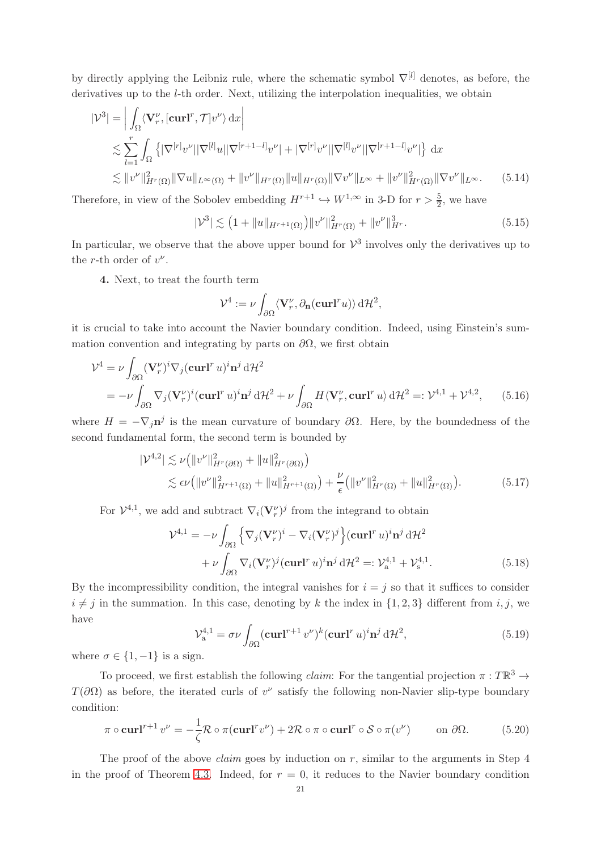by directly applying the Leibniz rule, where the schematic symbol  $\nabla^{[l]}$  denotes, as before, the derivatives up to the *l*-th order. Next, utilizing the interpolation inequalities, we obtain

$$
|\mathcal{V}^3| = \left| \int_{\Omega} \langle \mathbf{V}_r^{\nu}, [\mathbf{curl}^r, \mathcal{T}] v^{\nu} \rangle \, dx \right|
$$
  
\n
$$
\lesssim \sum_{l=1}^r \int_{\Omega} \left\{ |\nabla^{[r]} v^{\nu}| |\nabla^{[l]} u| |\nabla^{[r+1-l]} v^{\nu}| + |\nabla^{[r]} v^{\nu}| |\nabla^{[l]} v^{\nu}| |\nabla^{[r+1-l]} v^{\nu}| \right\} dx
$$
  
\n
$$
\lesssim \|v^{\nu}\|_{H^r(\Omega)}^2 \| \nabla u \|_{L^{\infty}(\Omega)} + \|v^{\nu}\|_{H^r(\Omega)} \|u\|_{H^r(\Omega)} \| \nabla v^{\nu}\|_{L^{\infty}} + \|v^{\nu}\|_{H^r(\Omega)}^2 \| \nabla v^{\nu}\|_{L^{\infty}}. \tag{5.14}
$$

Therefore, in view of the Sobolev embedding  $H^{r+1} \hookrightarrow W^{1,\infty}$  in 3-D for  $r > \frac{5}{2}$ , we have

<span id="page-20-4"></span>
$$
|\mathcal{V}^3| \lesssim (1 + \|u\|_{H^{r+1}(\Omega)}) \|v^{\nu}\|_{H^r(\Omega)}^2 + \|v^{\nu}\|_{H^r}^3.
$$
 (5.15)

In particular, we observe that the above upper bound for  $\mathcal{V}^3$  involves only the derivatives up to the *r*-th order of  $v^{\nu}$ .

4. Next, to treat the fourth term

<span id="page-20-5"></span><span id="page-20-3"></span><span id="page-20-2"></span>
$$
\mathcal{V}^4 := \nu \int_{\partial \Omega} \langle \mathbf{V}_r^{\nu}, \partial_{\mathbf{n}}(\mathbf{curl}^r u) \rangle \, d\mathcal{H}^2,
$$

it is crucial to take into account the Navier boundary condition. Indeed, using Einstein's summation convention and integrating by parts on  $\partial\Omega$ , we first obtain

$$
\mathcal{V}^4 = \nu \int_{\partial \Omega} (\mathbf{V}_r^{\nu})^i \nabla_j (\mathbf{curl}^r u)^i \mathbf{n}^j d\mathcal{H}^2
$$
  
= 
$$
-\nu \int_{\partial \Omega} \nabla_j (\mathbf{V}_r^{\nu})^i (\mathbf{curl}^r u)^i \mathbf{n}^j d\mathcal{H}^2 + \nu \int_{\partial \Omega} H \langle \mathbf{V}_r^{\nu}, \mathbf{curl}^r u \rangle d\mathcal{H}^2 =: \mathcal{V}^{4,1} + \mathcal{V}^{4,2}, \qquad (5.16)
$$

where  $H = -\nabla_j \mathbf{n}^j$  is the mean curvature of boundary  $\partial \Omega$ . Here, by the boundedness of the second fundamental form, the second term is bounded by

$$
|\mathcal{V}^{4,2}| \lesssim \nu \left( \|v^{\nu}\|_{H^{r}(\partial \Omega)}^{2} + \|u\|_{H^{r}(\partial \Omega)}^{2} \right) \leq \epsilon \nu \left( \|v^{\nu}\|_{H^{r+1}(\Omega)}^{2} + \|u\|_{H^{r+1}(\Omega)}^{2} \right) + \frac{\nu}{\epsilon} \left( \|v^{\nu}\|_{H^{r}(\Omega)}^{2} + \|u\|_{H^{r}(\Omega)}^{2} \right).
$$
\n(5.17)

For  $\mathcal{V}^{4,1}$ , we add and subtract  $\nabla_i (\mathbf{V}_r^{\nu})^j$  from the integrand to obtain

$$
\mathcal{V}^{4,1} = -\nu \int_{\partial \Omega} \left\{ \nabla_j (\mathbf{V}_r^{\nu})^i - \nabla_i (\mathbf{V}_r^{\nu})^j \right\} (\mathbf{curl}^r u)^i \mathbf{n}^j d\mathcal{H}^2
$$
  
+ 
$$
\nu \int_{\partial \Omega} \nabla_i (\mathbf{V}_r^{\nu})^j (\mathbf{curl}^r u)^i \mathbf{n}^j d\mathcal{H}^2 =: \mathcal{V}_a^{4,1} + \mathcal{V}_s^{4,1}. \tag{5.18}
$$

By the incompressibility condition, the integral vanishes for  $i = j$  so that it suffices to consider  $i \neq j$  in the summation. In this case, denoting by k the index in  $\{1, 2, 3\}$  different from i, j, we have

<span id="page-20-1"></span>
$$
\mathcal{V}_{a}^{4,1} = \sigma \nu \int_{\partial \Omega} (\mathbf{curl}^{r+1} v^{\nu})^k (\mathbf{curl}^r u)^i \mathbf{n}^j d\mathcal{H}^2,
$$
\n(5.19)

where  $\sigma \in \{1, -1\}$  is a sign.

To proceed, we first establish the following *claim*: For the tangential projection  $\pi : T\mathbb{R}^3 \to$  $T(\partial\Omega)$  as before, the iterated curls of  $v^{\nu}$  satisfy the following non-Navier slip-type boundary condition:

<span id="page-20-0"></span>
$$
\pi \circ \operatorname{curl}^{r+1} v^{\nu} = -\frac{1}{\zeta} \mathcal{R} \circ \pi(\operatorname{curl}^{r} v^{\nu}) + 2\mathcal{R} \circ \pi \circ \operatorname{curl}^{r} \circ \mathcal{S} \circ \pi(v^{\nu}) \qquad \text{on } \partial \Omega. \tag{5.20}
$$

The proof of the above *claim* goes by induction on  $r$ , similar to the arguments in Step 4 in the proof of Theorem [4.3.](#page-12-1) Indeed, for  $r = 0$ , it reduces to the Navier boundary condition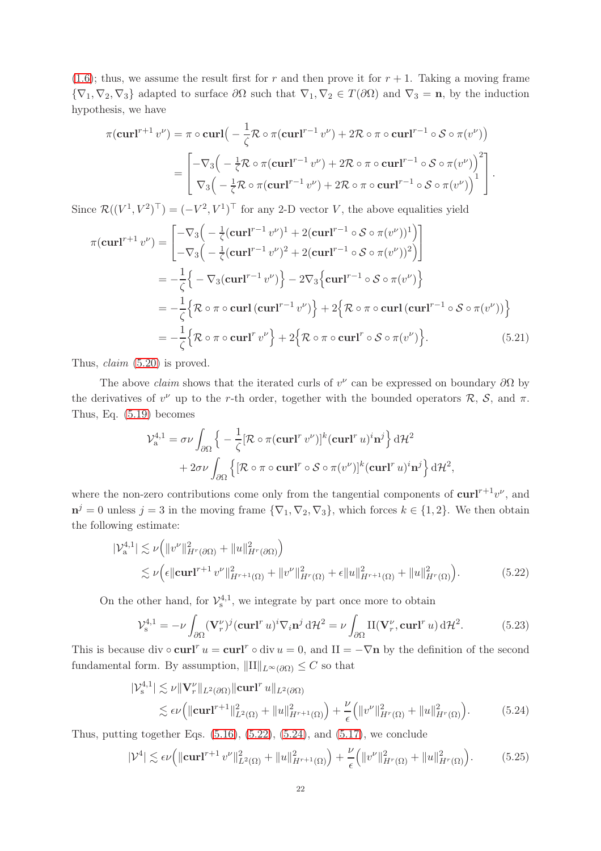$(1.6)$ ; thus, we assume the result first for r and then prove it for  $r + 1$ . Taking a moving frame  ${\nabla}_1, {\nabla}_2, {\nabla}_3$  adapted to surface  $\partial \Omega$  such that  ${\nabla}_1, {\nabla}_2 \in T(\partial \Omega)$  and  ${\nabla}_3 = \mathbf{n}$ , by the induction hypothesis, we have

$$
\pi(\mathbf{curl}^{r+1} v^{\nu}) = \pi \circ \mathbf{curl} \Big( -\frac{1}{\zeta} \mathcal{R} \circ \pi(\mathbf{curl}^{r-1} v^{\nu}) + 2 \mathcal{R} \circ \pi \circ \mathbf{curl}^{r-1} \circ \mathcal{S} \circ \pi(v^{\nu}) \Big)
$$
  
= 
$$
\begin{bmatrix} -\nabla_3 \Big( -\frac{1}{\zeta} \mathcal{R} \circ \pi(\mathbf{curl}^{r-1} v^{\nu}) + 2 \mathcal{R} \circ \pi \circ \mathbf{curl}^{r-1} \circ \mathcal{S} \circ \pi(v^{\nu}) \Big)^2 \\ \nabla_3 \Big( -\frac{1}{\zeta} \mathcal{R} \circ \pi(\mathbf{curl}^{r-1} v^{\nu}) + 2 \mathcal{R} \circ \pi \circ \mathbf{curl}^{r-1} \circ \mathcal{S} \circ \pi(v^{\nu}) \Big)^1 \end{bmatrix}.
$$

Since  $\mathcal{R}((V^1, V^2)^\top) = (-V^2, V^1)^\top$  for any 2-D vector V, the above equalities yield

$$
\pi(\mathbf{curl}^{r+1} v^{\nu}) = \begin{bmatrix} -\nabla_3 \Big( -\frac{1}{\zeta} (\mathbf{curl}^{r-1} v^{\nu})^1 + 2 (\mathbf{curl}^{r-1} \circ \mathcal{S} \circ \pi (v^{\nu}))^1 \Big) \\ -\nabla_3 \Big( -\frac{1}{\zeta} (\mathbf{curl}^{r-1} v^{\nu})^2 + 2 (\mathbf{curl}^{r-1} \circ \mathcal{S} \circ \pi (v^{\nu}))^2 \Big) \end{bmatrix} \\ = -\frac{1}{\zeta} \Big\{ -\nabla_3 (\mathbf{curl}^{r-1} v^{\nu}) \Big\} - 2\nabla_3 \Big\{ \mathbf{curl}^{r-1} \circ \mathcal{S} \circ \pi (v^{\nu}) \Big\} \\ = -\frac{1}{\zeta} \Big\{ \mathcal{R} \circ \pi \circ \mathbf{curl} (\mathbf{curl}^{r-1} v^{\nu}) \Big\} + 2 \Big\{ \mathcal{R} \circ \pi \circ \mathbf{curl} (\mathbf{curl}^{r-1} \circ \mathcal{S} \circ \pi (v^{\nu})) \Big\} \\ = -\frac{1}{\zeta} \Big\{ \mathcal{R} \circ \pi \circ \mathbf{curl}^{r} v^{\nu} \Big\} + 2 \Big\{ \mathcal{R} \circ \pi \circ \mathbf{curl}^{r} \circ \mathcal{S} \circ \pi (v^{\nu}) \Big\}. \tag{5.21}
$$

Thus, claim [\(5.20\)](#page-20-0) is proved.

The above *claim* shows that the iterated curls of  $v^{\nu}$  can be expressed on boundary  $\partial\Omega$  by the derivatives of  $v^{\nu}$  up to the r-th order, together with the bounded operators  $\mathcal{R}, \mathcal{S},$  and  $\pi$ . Thus, Eq. [\(5.19\)](#page-20-1) becomes

$$
\mathcal{V}_{a}^{4,1} = \sigma \nu \int_{\partial \Omega} \left\{ -\frac{1}{\zeta} [\mathcal{R} \circ \pi (\mathbf{curl}^r v^\nu)]^k (\mathbf{curl}^r u)^i \mathbf{n}^j \right\} d\mathcal{H}^2
$$

$$
+ 2\sigma \nu \int_{\partial \Omega} \left\{ [\mathcal{R} \circ \pi \circ \mathbf{curl}^r \circ \mathcal{S} \circ \pi (v^\nu)]^k (\mathbf{curl}^r u)^i \mathbf{n}^j \right\} d\mathcal{H}^2,
$$

where the non-zero contributions come only from the tangential components of  $\text{curl}^{r+1}v^{\nu}$ , and  $\mathbf{n}^j = 0$  unless  $j = 3$  in the moving frame  $\{\nabla_1, \nabla_2, \nabla_3\}$ , which forces  $k \in \{1, 2\}$ . We then obtain the following estimate:

$$
|\mathcal{V}_{a}^{4,1}| \lesssim \nu \Big( \|v^{\nu}\|_{H^{r}(\partial \Omega)}^{2} + \|u\|_{H^{r}(\partial \Omega)}^{2} \Big) \lesssim \nu \Big( \epsilon \| \mathbf{curl}^{r+1} v^{\nu} \|_{H^{r+1}(\Omega)}^{2} + \|v^{\nu}\|_{H^{r}(\Omega)}^{2} + \epsilon \|u\|_{H^{r+1}(\Omega)}^{2} + \|u\|_{H^{r}(\Omega)}^{2} \Big).
$$
\n(5.22)

On the other hand, for  $\mathcal{V}_{s}^{4,1}$ , we integrate by part once more to obtain

<span id="page-21-0"></span>
$$
\mathcal{V}_{\rm s}^{4,1} = -\nu \int_{\partial\Omega} (\mathbf{V}_r^{\nu})^j (\mathbf{curl}^r u)^i \nabla_i \mathbf{n}^j \, d\mathcal{H}^2 = \nu \int_{\partial\Omega} \Pi(\mathbf{V}_r^{\nu}, \mathbf{curl}^r u) \, d\mathcal{H}^2. \tag{5.23}
$$

This is because div  $\circ$  curl<sup>r</sup>  $u = \text{curl}^r \circ \text{div} u = 0$ , and  $H = -\nabla \mathbf{n}$  by the definition of the second fundamental form. By assumption,  $\|\text{II}\|_{L^{\infty}(\partial\Omega)} \leq C$  so that

<span id="page-21-1"></span>
$$
|\mathcal{V}_{s}^{4,1}| \lesssim \nu \|V_{r}^{\nu}\|_{L^{2}(\partial\Omega)} \|\mathbf{curl}^{r} u\|_{L^{2}(\partial\Omega)}
$$
  

$$
\lesssim \epsilon \nu \Big( \|\mathbf{curl}^{r+1}\|_{L^{2}(\Omega)}^{2} + \|u\|_{H^{r+1}(\Omega)}^{2} \Big) + \frac{\nu}{\epsilon} \Big( \|v^{\nu}\|_{H^{r}(\Omega)}^{2} + \|u\|_{H^{r}(\Omega)}^{2} \Big). \tag{5.24}
$$

Thus, putting together Eqs.  $(5.16)$ ,  $(5.22)$ ,  $(5.24)$ , and  $(5.17)$ , we conclude

<span id="page-21-2"></span>
$$
|\mathcal{V}^4| \lesssim \epsilon \nu \Big( \|\mathbf{curl}^{r+1} v^{\nu}\|_{L^2(\Omega)}^2 + \|u\|_{H^{r+1}(\Omega)}^2 \Big) + \frac{\nu}{\epsilon} \Big( \|v^{\nu}\|_{H^r(\Omega)}^2 + \|u\|_{H^r(\Omega)}^2 \Big). \tag{5.25}
$$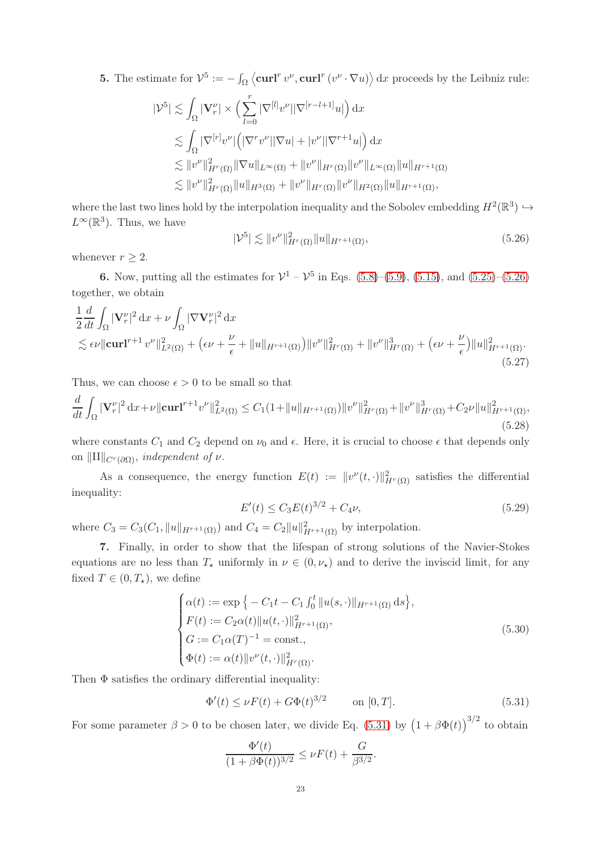**5.** The estimate for  $\mathcal{V}^5 := -\int_{\Omega} \langle \mathbf{curl}^r v^{\nu}, \mathbf{curl}^r (v^{\nu} \cdot \nabla u) \rangle \,dx$  proceeds by the Leibniz rule:

$$
|\mathcal{V}^5| \lesssim \int_{\Omega} |\mathbf{V}_r^{\nu}| \times \left(\sum_{l=0}^r |\nabla^{[l]} v^{\nu}| |\nabla^{[r-l+1]} u|\right) dx
$$
  

$$
\lesssim \int_{\Omega} |\nabla^{[r]} v^{\nu}| \left(|\nabla^r v^{\nu}| |\nabla u| + |v^{\nu}| |\nabla^{r+1} u|\right) dx
$$
  

$$
\lesssim ||v^{\nu}||_{H^r(\Omega)}^2 ||\nabla u||_{L^{\infty}(\Omega)} + ||v^{\nu}||_{H^r(\Omega)} ||v^{\nu}||_{L^{\infty}(\Omega)} ||u||_{H^{r+1}(\Omega)}
$$
  

$$
\lesssim ||v^{\nu}||_{H^r(\Omega)}^2 ||u||_{H^3(\Omega)} + ||v^{\nu}||_{H^r(\Omega)} ||v^{\nu}||_{H^2(\Omega)} ||u||_{H^{r+1}(\Omega)},
$$

where the last two lines hold by the interpolation inequality and the Sobolev embedding  $H^2(\mathbb{R}^3) \hookrightarrow$  $L^{\infty}(\mathbb{R}^{3})$ . Thus, we have

<span id="page-22-0"></span>
$$
|\mathcal{V}^5| \lesssim \|v^{\nu}\|_{H^r(\Omega)}^2 \|u\|_{H^{r+1}(\Omega)}, \tag{5.26}
$$

whenever  $r \geq 2$ .

**6.** Now, putting all the estimates for  $V^1 - V^5$  in Eqs. [\(5.8\)](#page-19-1)–[\(5.9\)](#page-19-2), [\(5.15\)](#page-20-4), and [\(5.25\)](#page-21-2)–[\(5.26\)](#page-22-0) together, we obtain

$$
\frac{1}{2}\frac{d}{dt}\int_{\Omega} |\mathbf{V}^{\nu}_{r}|^{2} dx + \nu \int_{\Omega} |\nabla \mathbf{V}^{\nu}_{r}|^{2} dx
$$
\n
$$
\lesssim \epsilon \nu \|\mathbf{curl}^{r+1} v^{\nu}\|_{L^{2}(\Omega)}^{2} + \left(\epsilon \nu + \frac{\nu}{\epsilon} + \|u\|_{H^{r+1}(\Omega)}\right) \|v^{\nu}\|_{H^{r}(\Omega)}^{2} + \|v^{\nu}\|_{H^{r}(\Omega)}^{3} + \left(\epsilon \nu + \frac{\nu}{\epsilon}\right) \|u\|_{H^{r+1}(\Omega)}^{2}.
$$
\n(5.27)

Thus, we can choose  $\epsilon > 0$  to be small so that

<span id="page-22-2"></span>
$$
\frac{d}{dt} \int_{\Omega} |\mathbf{V}_r^{\nu}|^2 dx + \nu \|\mathbf{curl}^{r+1} v^{\nu}\|_{L^2(\Omega)}^2 \le C_1 (1 + \|u\|_{H^{r+1}(\Omega)}) \|v^{\nu}\|_{H^r(\Omega)}^2 + \|v^{\nu}\|_{H^r(\Omega)}^3 + C_2 \nu \|u\|_{H^{r+1}(\Omega)}^2,
$$
\n(5.28)

where constants  $C_1$  and  $C_2$  depend on  $\nu_0$  and  $\epsilon$ . Here, it is crucial to choose  $\epsilon$  that depends only on  $\|\text{II}\|_{C^r(\partial\Omega)}$ , independent of  $\nu$ .

As a consequence, the energy function  $E(t) := ||v^{\nu}(t, \cdot)||_{H^{r}(\Omega)}^{2}$  satisfies the differential inequality:

$$
E'(t) \le C_3 E(t)^{3/2} + C_4 \nu,
$$
\n(5.29)

where  $C_3 = C_3(C_1, ||u||_{H^{r+1}(\Omega)})$  and  $C_4 = C_2 ||u||_{H^{r+1}(\Omega)}^2$  by interpolation.

7. Finally, in order to show that the lifespan of strong solutions of the Navier-Stokes equations are no less than  $T_{\star}$  uniformly in  $\nu \in (0, \nu_{\star})$  and to derive the inviscid limit, for any fixed  $T \in (0, T_{\star})$ , we define

$$
\begin{cases}\n\alpha(t) := \exp \left\{ -C_1 t - C_1 \int_0^t \|u(s, \cdot)\|_{H^{r+1}(\Omega)} ds \right\}, \\
F(t) := C_2 \alpha(t) \|u(t, \cdot)\|_{H^{r+1}(\Omega)}^2, \\
G := C_1 \alpha(T)^{-1} = \text{const.}, \\
\Phi(t) := \alpha(t) \|v^{\nu}(t, \cdot)\|_{H^r(\Omega)}^2.\n\end{cases} \tag{5.30}
$$

Then  $\Phi$  satisfies the ordinary differential inequality:

<span id="page-22-1"></span>
$$
\Phi'(t) \le \nu F(t) + G\Phi(t)^{3/2} \qquad \text{on } [0, T]. \tag{5.31}
$$

For some parameter  $\beta > 0$  to be chosen later, we divide Eq. [\(5.31\)](#page-22-1) by  $(1 + \beta \Phi(t))^{3/2}$  to obtain

$$
\frac{\Phi'(t)}{(1+\beta\Phi(t))^{3/2}} \le \nu F(t) + \frac{G}{\beta^{3/2}}.
$$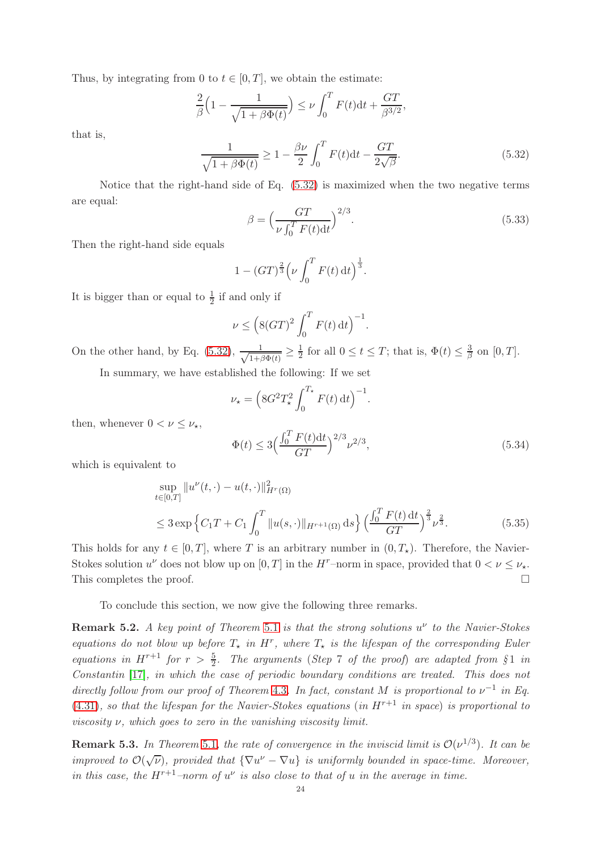Thus, by integrating from 0 to  $t \in [0, T]$ , we obtain the estimate:

$$
\frac{2}{\beta} \Big( 1 - \frac{1}{\sqrt{1 + \beta \Phi(t)}} \Big) \le \nu \int_0^T F(t) dt + \frac{GT}{\beta^{3/2}},
$$

that is,

<span id="page-23-0"></span>
$$
\frac{1}{\sqrt{1+\beta\Phi(t)}} \ge 1 - \frac{\beta\nu}{2} \int_0^T F(t)dt - \frac{GT}{2\sqrt{\beta}}.\tag{5.32}
$$

Notice that the right-hand side of Eq. [\(5.32\)](#page-23-0) is maximized when the two negative terms are equal:

$$
\beta = \left(\frac{GT}{\nu \int_0^T F(t)dt}\right)^{2/3}.
$$
\n(5.33)

Then the right-hand side equals

$$
1 - (GT)^{\frac{2}{3}} \left(\nu \int_0^T F(t) \, \mathrm{d}t\right)^{\frac{1}{3}}.
$$

It is bigger than or equal to  $\frac{1}{2}$  if and only if

$$
\nu \le \left(8(GT)^2 \int_0^T F(t) dt\right)^{-1}.
$$

On the other hand, by Eq. [\(5.32\)](#page-23-0),  $\frac{1}{\sqrt{1+t}}$  $\frac{1}{1+\beta\Phi(t)} \geq \frac{1}{2}$  $\frac{1}{2}$  for all  $0 \le t \le T$ ; that is,  $\Phi(t) \le \frac{3}{\beta}$  $\frac{3}{\beta}$  on [0, T].

In summary, we have established the following: If we set

$$
\nu_{\star} = \left( 8G^2 T_{\star}^2 \int_0^{T_{\star}} F(t) dt \right)^{-1}.
$$

then, whenever  $0 < \nu \leq \nu_{\star}$ ,

$$
\Phi(t) \le 3 \left( \frac{\int_0^T F(t) \, dt}{GT} \right)^{2/3} \nu^{2/3},\tag{5.34}
$$

which is equivalent to

$$
\sup_{t \in [0,T]} \|u^{\nu}(t,\cdot) - u(t,\cdot)\|_{H^r(\Omega)}^2
$$
  
\n
$$
\leq 3 \exp \left\{ C_1 T + C_1 \int_0^T \|u(s,\cdot)\|_{H^{r+1}(\Omega)} ds \right\} \left( \frac{\int_0^T F(t) dt}{GT} \right)^{\frac{2}{3}} \nu^{\frac{2}{3}}.
$$
\n(5.35)

This holds for any  $t \in [0, T]$ , where T is an arbitrary number in  $(0, T_*)$ . Therefore, the Navier-Stokes solution  $u^{\nu}$  does not blow up on  $[0, T]$  in the  $H^{\tau}$ -norm in space, provided that  $0 < \nu \leq \nu_{\star}$ . This completes the proof.  $\Box$ 

To conclude this section, we now give the following three remarks.

**Remark 5.2.** A key point of Theorem [5.1](#page-18-0) is that the strong solutions  $u^{\nu}$  to the Navier-Stokes equations do not blow up before  $T_{\star}$  in  $H^r$ , where  $T_{\star}$  is the lifespan of the corresponding Euler equations in  $H^{r+1}$  for  $r > \frac{5}{2}$ . The arguments (Step 7 of the proof) are adapted from §1 in Constantin [\[17\]](#page-28-8), in which the case of periodic boundary conditions are treated. This does not directly follow from our proof of Theorem [4.3](#page-12-1). In fact, constant M is proportional to  $\nu^{-1}$  in Eq.  $(4.31)$ , so that the lifespan for the Navier-Stokes equations (in  $H^{r+1}$  in space) is proportional to viscosity  $\nu$ , which goes to zero in the vanishing viscosity limit.

**Remark 5.3.** In Theorem [5.1](#page-18-0), the rate of convergence in the inviscid limit is  $\mathcal{O}(\nu^{1/3})$ . It can be improved to  $\mathcal{O}(\sqrt{\nu})$ , provided that  $\{\nabla u^{\nu} - \nabla u\}$  is uniformly bounded in space-time. Moreover, in this case, the  $H^{r+1}$ -norm of  $u^{\nu}$  is also close to that of u in the average in time.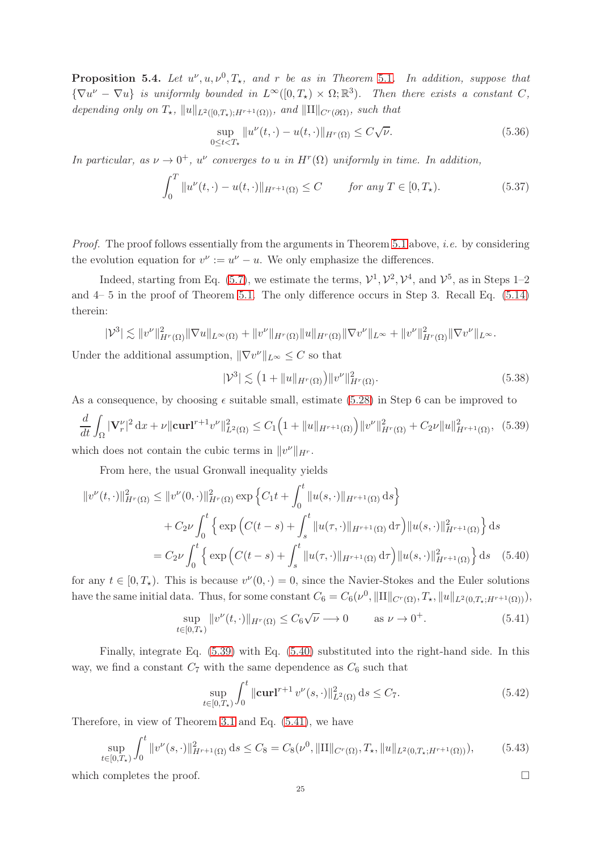**Proposition 5.4.** Let  $u^{\nu}, u, \nu^{0}, T_{\star}$ , and r be as in Theorem [5.1](#page-18-0). In addition, suppose that  ${\nabla} u^{\nu} - \nabla u$  is uniformly bounded in  $L^{\infty}([0, T_{\star}) \times \Omega; \mathbb{R}^{3})$ . Then there exists a constant C, depending only on  $T_{\star}$ ,  $||u||_{L^2([0,T_1):H^{r+1}(\Omega))}$ , and  $||H||_{C^r(\partial\Omega)}$ , such that

$$
\sup_{0 \le t < T_{\star}} \|u^{\nu}(t, \cdot) - u(t, \cdot)\|_{H^r(\Omega)} \le C\sqrt{\nu}.
$$
\n(5.36)

In particular, as  $\nu \to 0^+$ ,  $u^{\nu}$  converges to u in  $H^r(\Omega)$  uniformly in time. In addition,

$$
\int_0^T \|u^{\nu}(t,\cdot) - u(t,\cdot)\|_{H^{r+1}(\Omega)} \le C \qquad \text{for any } T \in [0,T_\star). \tag{5.37}
$$

Proof. The proof follows essentially from the arguments in Theorem [5.1](#page-18-0) above, *i.e.* by considering the evolution equation for  $v^{\nu} := u^{\nu} - u$ . We only emphasize the differences.

Indeed, starting from Eq. [\(5.7\)](#page-19-3), we estimate the terms,  $\mathcal{V}^1$ ,  $\mathcal{V}^2$ ,  $\mathcal{V}^4$ , and  $\mathcal{V}^5$ , as in Steps 1–2 and 4– 5 in the proof of Theorem [5.1.](#page-18-0) The only difference occurs in Step 3. Recall Eq. [\(5.14\)](#page-20-5) therein:

$$
|\mathcal{V}^3| \lesssim ||v^{\nu}||_{H^r(\Omega)}^2 ||\nabla u||_{L^{\infty}(\Omega)} + ||v^{\nu}||_{H^r(\Omega)} ||u||_{H^r(\Omega)} ||\nabla v^{\nu}||_{L^{\infty}} + ||v^{\nu}||_{H^r(\Omega)}^2 ||\nabla v^{\nu}||_{L^{\infty}}.
$$

Under the additional assumption,  $\|\nabla v^{\nu}\|_{L^{\infty}} \leq C$  so that

$$
|\mathcal{V}^3| \lesssim (1 + \|u\|_{H^r(\Omega)}) \|v^{\nu}\|_{H^r(\Omega)}^2.
$$
\n(5.38)

As a consequence, by choosing  $\epsilon$  suitable small, estimate [\(5.28\)](#page-22-2) in Step 6 can be improved to

<span id="page-24-0"></span>
$$
\frac{d}{dt} \int_{\Omega} |\mathbf{V}_r^{\nu}|^2 dx + \nu ||\mathbf{curl}^{r+1} v^{\nu}||_{L^2(\Omega)}^2 \le C_1 \Big( 1 + ||u||_{H^{r+1}(\Omega)} \Big) ||v^{\nu}||_{H^r(\Omega)}^2 + C_2 \nu ||u||_{H^{r+1}(\Omega)}^2, \tag{5.39}
$$

which does not contain the cubic terms in  $||v^{\nu}||_{H^r}$ .

From here, the usual Gronwall inequality yields

$$
||v^{\nu}(t,\cdot)||_{H^{r}(\Omega)}^{2} \leq ||v^{\nu}(0,\cdot)||_{H^{r}(\Omega)}^{2} \exp \left\{ C_{1}t + \int_{0}^{t} ||u(s,\cdot)||_{H^{r+1}(\Omega)} ds \right\}
$$
  
+  $C_{2}\nu \int_{0}^{t} \left\{ \exp \left( C(t-s) + \int_{s}^{t} ||u(\tau,\cdot)||_{H^{r+1}(\Omega)} d\tau \right) ||u(s,\cdot)||_{H^{r+1}(\Omega)}^{2} \right\} ds$   
=  $C_{2}\nu \int_{0}^{t} \left\{ \exp \left( C(t-s) + \int_{s}^{t} ||u(\tau,\cdot)||_{H^{r+1}(\Omega)} d\tau \right) ||u(s,\cdot)||_{H^{r+1}(\Omega)}^{2} \right\} ds$  (5.40)

for any  $t \in [0, T_{\star})$ . This is because  $v^{\nu}(0, \cdot) = 0$ , since the Navier-Stokes and the Euler solutions have the same initial data. Thus, for some constant  $C_6 = C_6(\nu^0, \|\Pi\|_{C^r(\Omega)}, T_{\star}, \|u\|_{L^2(0,T_{\star};H^{r+1}(\Omega))}),$ 

<span id="page-24-2"></span>
$$
\sup_{t \in [0,T_\star)} \|v^\nu(t,\cdot)\|_{H^r(\Omega)} \le C_6 \sqrt{\nu} \to 0 \qquad \text{as } \nu \to 0^+.
$$
 (5.41)

Finally, integrate Eq. [\(5.39\)](#page-24-0) with Eq. [\(5.40\)](#page-24-1) substituted into the right-hand side. In this way, we find a constant  $C_7$  with the same dependence as  $C_6$  such that

$$
\sup_{t \in [0,T_\star)} \int_0^t \|\mathbf{curl}^{r+1} v^\nu(s,\cdot)\|_{L^2(\Omega)}^2 \,\mathrm{d}s \le C_7. \tag{5.42}
$$

Therefore, in view of Theorem [3.1](#page-6-0) and Eq. [\(5.41\)](#page-24-2), we have

$$
\sup_{t \in [0,T_\star)} \int_0^t \|v^\nu(s,\cdot)\|_{H^{r+1}(\Omega)}^2 \,\mathrm{d} s \le C_8 = C_8(\nu^0, \|\Pi\|_{C^r(\Omega)}, T_\star, \|u\|_{L^2(0,T_\star;H^{r+1}(\Omega))}),\tag{5.43}
$$

which completes the proof.  $\Box$ 

<span id="page-24-1"></span>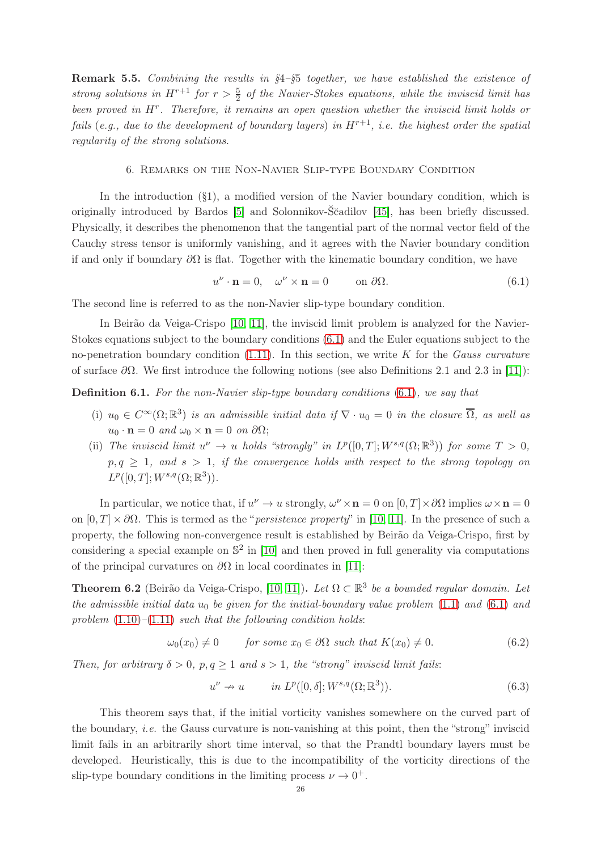**Remark 5.5.** Combining the results in  $\S4-\S5$  together, we have established the existence of strong solutions in  $H^{r+1}$  for  $r > \frac{5}{2}$  of the Navier-Stokes equations, while the inviscid limit has been proved in  $H^r$ . Therefore, it remains an open question whether the inviscid limit holds or fails (e.g., due to the development of boundary layers) in  $H^{r+1}$ , i.e. the highest order the spatial regularity of the strong solutions.

## 6. Remarks on the Non-Navier Slip-type Boundary Condition

In the introduction  $(\S1)$ , a modified version of the Navier boundary condition, which is originally introduced by Bardos [\[5\]](#page-27-4) and Solonnikov-S˘cadilov [\[45\]](#page-29-12), has been briefly discussed. ˘ Physically, it describes the phenomenon that the tangential part of the normal vector field of the Cauchy stress tensor is uniformly vanishing, and it agrees with the Navier boundary condition if and only if boundary  $\partial\Omega$  is flat. Together with the kinematic boundary condition, we have

<span id="page-25-0"></span>
$$
u^{\nu} \cdot \mathbf{n} = 0, \quad \omega^{\nu} \times \mathbf{n} = 0 \qquad \text{on } \partial \Omega. \tag{6.1}
$$

The second line is referred to as the non-Navier slip-type boundary condition.

In Beirão da Veiga-Crispo [\[10,](#page-28-22) [11\]](#page-28-23), the inviscid limit problem is analyzed for the Navier-Stokes equations subject to the boundary conditions [\(6.1\)](#page-25-0) and the Euler equations subject to the no-penetration boundary condition  $(1.11)$ . In this section, we write K for the Gauss curvature of surface  $\partial\Omega$ . We first introduce the following notions (see also Definitions 2.1 and 2.3 in [\[11\]](#page-28-23)):

<span id="page-25-2"></span>Definition 6.1. For the non-Navier slip-type boundary conditions [\(6.1\)](#page-25-0), we say that

- (i)  $u_0 \in C^{\infty}(\Omega;\mathbb{R}^3)$  is an admissible initial data if  $\nabla \cdot u_0 = 0$  in the closure  $\overline{\Omega}$ , as well as  $u_0 \cdot \mathbf{n} = 0$  and  $\omega_0 \times \mathbf{n} = 0$  on  $\partial\Omega$ ;
- (ii) The inviscid limit  $u^{\nu} \to u$  holds "strongly" in  $L^p([0,T]; W^{s,q}(\Omega;\mathbb{R}^3))$  for some  $T > 0$ ,  $p, q \geq 1$ , and  $s > 1$ , if the convergence holds with respect to the strong topology on  $L^p([0,T];W^{s,q}(\Omega;\mathbb{R}^3)).$

In particular, we notice that, if  $u^{\nu} \to u$  strongly,  $\omega^{\nu} \times \mathbf{n} = 0$  on  $[0, T] \times \partial\Omega$  implies  $\omega \times \mathbf{n} = 0$ on  $[0, T] \times \partial \Omega$ . This is termed as the "*persistence property*" in [\[10,](#page-28-22) [11\]](#page-28-23). In the presence of such a property, the following non-convergence result is established by Beirão da Veiga-Crispo, first by considering a special example on  $\mathbb{S}^2$  in [\[10\]](#page-28-22) and then proved in full generality via computations of the principal curvatures on  $\partial\Omega$  in local coordinates in [\[11\]](#page-28-23):

<span id="page-25-1"></span>**Theorem 6.2** (Beirão da Veiga-Crispo, [\[10,](#page-28-22) [11\]](#page-28-23)). Let  $\Omega \subset \mathbb{R}^3$  be a bounded regular domain. Let the admissible initial data  $u_0$  be given for the initial-boundary value problem [\(1.1\)](#page-0-0) and [\(6.1\)](#page-25-0) and problem  $(1.10)$ – $(1.11)$  such that the following condition holds:

$$
\omega_0(x_0) \neq 0 \qquad \text{for some } x_0 \in \partial\Omega \text{ such that } K(x_0) \neq 0. \tag{6.2}
$$

Then, for arbitrary  $\delta > 0$ ,  $p, q \ge 1$  and  $s > 1$ , the "strong" inviscid limit fails:

$$
u^{\nu} \nrightarrow u \qquad in \, L^p([0, \delta]; W^{s,q}(\Omega; \mathbb{R}^3)). \tag{6.3}
$$

This theorem says that, if the initial vorticity vanishes somewhere on the curved part of the boundary, *i.e.* the Gauss curvature is non-vanishing at this point, then the "strong" inviscid limit fails in an arbitrarily short time interval, so that the Prandtl boundary layers must be developed. Heuristically, this is due to the incompatibility of the vorticity directions of the slip-type boundary conditions in the limiting process  $\nu \to 0^+$ .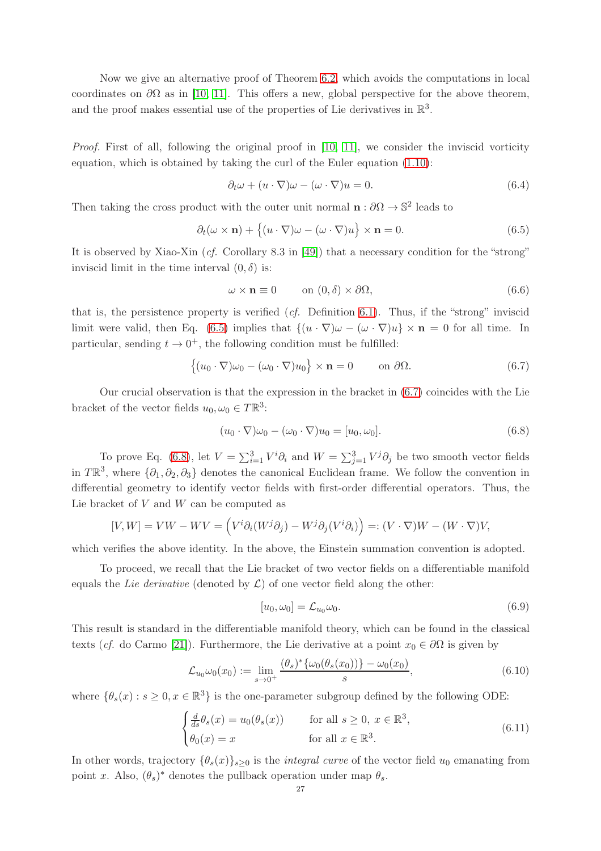Now we give an alternative proof of Theorem [6.2,](#page-25-1) which avoids the computations in local coordinates on  $\partial\Omega$  as in [\[10,](#page-28-22) [11\]](#page-28-23). This offers a new, global perspective for the above theorem, and the proof makes essential use of the properties of Lie derivatives in  $\mathbb{R}^3$ .

Proof. First of all, following the original proof in [\[10,](#page-28-22) [11\]](#page-28-23), we consider the inviscid vorticity equation, which is obtained by taking the curl of the Euler equation [\(1.10\)](#page-3-1):

$$
\partial_t \omega + (u \cdot \nabla)\omega - (\omega \cdot \nabla)u = 0.
$$
\n(6.4)

Then taking the cross product with the outer unit normal  $\mathbf{n} : \partial \Omega \to \mathbb{S}^2$  leads to

<span id="page-26-0"></span>
$$
\partial_t(\omega \times \mathbf{n}) + \{(u \cdot \nabla)\omega - (\omega \cdot \nabla)u\} \times \mathbf{n} = 0.
$$
 (6.5)

It is observed by Xiao-Xin (cf. Corollary 8.3 in [\[49\]](#page-29-6)) that a necessary condition for the "strong" inviscid limit in the time interval  $(0, \delta)$  is:

$$
\omega \times \mathbf{n} \equiv 0 \qquad \text{on } (0, \delta) \times \partial \Omega,
$$
\n(6.6)

that is, the persistence property is verified  $(cf.$  Definition [6.1\)](#page-25-2). Thus, if the "strong" inviscid limit were valid, then Eq. [\(6.5\)](#page-26-0) implies that  $\{(u \cdot \nabla) \omega - (\omega \cdot \nabla)u\} \times \mathbf{n} = 0$  for all time. In particular, sending  $t \to 0^+$ , the following condition must be fulfilled:

<span id="page-26-1"></span>
$$
\{(u_0 \cdot \nabla)\omega_0 - (\omega_0 \cdot \nabla)u_0\} \times \mathbf{n} = 0 \quad \text{on } \partial\Omega.
$$
 (6.7)

Our crucial observation is that the expression in the bracket in [\(6.7\)](#page-26-1) coincides with the Lie bracket of the vector fields  $u_0, \omega_0 \in T\mathbb{R}^3$ :

<span id="page-26-2"></span>
$$
(u_0 \cdot \nabla)\omega_0 - (\omega_0 \cdot \nabla)u_0 = [u_0, \omega_0].
$$
\n(6.8)

To prove Eq. [\(6.8\)](#page-26-2), let  $V = \sum_{i=1}^{3} V^i \partial_i$  and  $W = \sum_{j=1}^{3} V^j \partial_j$  be two smooth vector fields in  $T\mathbb{R}^3$ , where  $\{\partial_1, \partial_2, \partial_3\}$  denotes the canonical Euclidean frame. We follow the convention in differential geometry to identify vector fields with first-order differential operators. Thus, the Lie bracket of  $V$  and  $W$  can be computed as

$$
[V, W] = VW - WV = (V^i \partial_i (W^j \partial_j) - W^j \partial_j (V^i \partial_i)) =: (V \cdot \nabla)W - (W \cdot \nabla)V,
$$

which verifies the above identity. In the above, the Einstein summation convention is adopted.

To proceed, we recall that the Lie bracket of two vector fields on a differentiable manifold equals the Lie derivative (denoted by  $\mathcal{L}$ ) of one vector field along the other:

<span id="page-26-3"></span>
$$
[u_0, \omega_0] = \mathcal{L}_{u_0} \omega_0. \tag{6.9}
$$

This result is standard in the differentiable manifold theory, which can be found in the classical texts (cf. do Carmo [\[21\]](#page-28-26)). Furthermore, the Lie derivative at a point  $x_0 \in \partial\Omega$  is given by

<span id="page-26-4"></span>
$$
\mathcal{L}_{u_0}\omega_0(x_0) := \lim_{s \to 0^+} \frac{(\theta_s)^* \{\omega_0(\theta_s(x_0))\} - \omega_0(x_0)}{s},\tag{6.10}
$$

where  $\{\theta_s(x) : s \ge 0, x \in \mathbb{R}^3\}$  is the one-parameter subgroup defined by the following ODE:

$$
\begin{cases}\n\frac{d}{ds}\theta_s(x) = u_0(\theta_s(x)) & \text{for all } s \ge 0, \ x \in \mathbb{R}^3, \\
\theta_0(x) = x & \text{for all } x \in \mathbb{R}^3.\n\end{cases}
$$
\n(6.11)

In other words, trajectory  $\{\theta_s(x)\}_{s>0}$  is the *integral curve* of the vector field  $u_0$  emanating from point x. Also,  $(\theta_s)^*$  denotes the pullback operation under map  $\theta_s$ .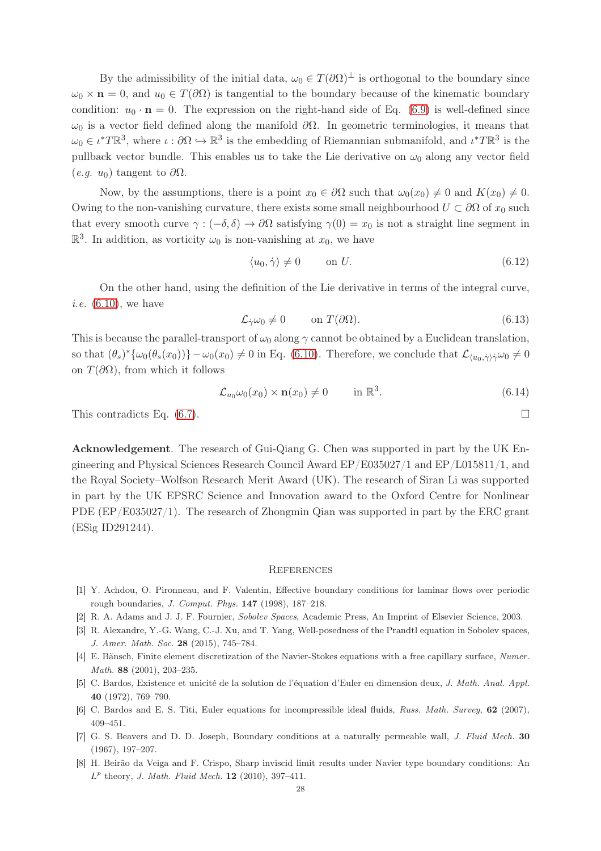By the admissibility of the initial data,  $\omega_0 \in T(\partial\Omega)^{\perp}$  is orthogonal to the boundary since  $\omega_0 \times \mathbf{n} = 0$ , and  $u_0 \in T(\partial\Omega)$  is tangential to the boundary because of the kinematic boundary condition:  $u_0 \cdot \mathbf{n} = 0$ . The expression on the right-hand side of Eq. [\(6.9\)](#page-26-3) is well-defined since  $ω_0$  is a vector field defined along the manifold  $\partial Ω$ . In geometric terminologies, it means that  $\omega_0 \in \iota^* T \mathbb{R}^3$ , where  $\iota : \partial \Omega \hookrightarrow \mathbb{R}^3$  is the embedding of Riemannian submanifold, and  $\iota^* T \mathbb{R}^3$  is the pullback vector bundle. This enables us to take the Lie derivative on  $\omega_0$  along any vector field  $(e.g. u_0)$  tangent to  $\partial\Omega$ .

Now, by the assumptions, there is a point  $x_0 \in \partial\Omega$  such that  $\omega_0(x_0) \neq 0$  and  $K(x_0) \neq 0$ . Owing to the non-vanishing curvature, there exists some small neighbourhood  $U \subset \partial\Omega$  of  $x_0$  such that every smooth curve  $\gamma : (-\delta, \delta) \to \partial\Omega$  satisfying  $\gamma(0) = x_0$  is not a straight line segment in  $\mathbb{R}^3$ . In addition, as vorticity  $\omega_0$  is non-vanishing at  $x_0$ , we have

$$
\langle u_0, \dot{\gamma} \rangle \neq 0 \qquad \text{on } U. \tag{6.12}
$$

On the other hand, using the definition of the Lie derivative in terms of the integral curve, *i.e.*  $(6.10)$ , we have

$$
\mathcal{L}_{\dot{\gamma}}\omega_0 \neq 0 \qquad \text{on } T(\partial\Omega). \tag{6.13}
$$

This is because the parallel-transport of  $\omega_0$  along  $\gamma$  cannot be obtained by a Euclidean translation, so that  $(\theta_s)^* {\omega_0(\theta_s(x_0))} - \omega_0(x_0) \neq 0$  in Eq. [\(6.10\)](#page-26-4). Therefore, we conclude that  $\mathcal{L}_{\langle u_0, \dot{\gamma} \rangle \dot{\gamma}} \omega_0 \neq 0$ on  $T(\partial\Omega)$ , from which it follows

$$
\mathcal{L}_{u_0} \omega_0(x_0) \times \mathbf{n}(x_0) \neq 0 \qquad \text{in } \mathbb{R}^3. \tag{6.14}
$$

This contradicts Eq.  $(6.7)$ .

Acknowledgement. The research of Gui-Qiang G. Chen was supported in part by the UK Engineering and Physical Sciences Research Council Award EP/E035027/1 and EP/L015811/1, and the Royal Society–Wolfson Research Merit Award (UK). The research of Siran Li was supported in part by the UK EPSRC Science and Innovation award to the Oxford Centre for Nonlinear PDE (EP/E035027/1). The research of Zhongmin Qian was supported in part by the ERC grant (ESig ID291244).

#### **REFERENCES**

- <span id="page-27-6"></span><span id="page-27-0"></span>[1] Y. Achdou, O. Pironneau, and F. Valentin, Effective boundary conditions for laminar flows over periodic rough boundaries, J. Comput. Phys. 147 (1998), 187–218.
- <span id="page-27-3"></span>[2] R. A. Adams and J. J. F. Fournier, Sobolev Spaces, Academic Press, An Imprint of Elsevier Science, 2003.
- <span id="page-27-1"></span>[3] R. Alexandre, Y.-G. Wang, C.-J. Xu, and T. Yang, Well-posedness of the Prandtl equation in Sobolev spaces, J. Amer. Math. Soc. 28 (2015), 745–784.
- <span id="page-27-4"></span>[4] E. Bänsch, Finite element discretization of the Navier-Stokes equations with a free capillary surface, Numer. Math. 88 (2001), 203–235.
- [5] C. Bardos, Existence et unicité de la solution de l'équation d'Euler en dimension deux, J. Math. Anal. Appl. 40 (1972), 769–790.
- <span id="page-27-2"></span>[6] C. Bardos and E. S. Titi, Euler equations for incompressible ideal fluids, Russ. Math. Survey, 62 (2007), 409–451.
- <span id="page-27-5"></span>[7] G. S. Beavers and D. D. Joseph, Boundary conditions at a naturally permeable wall, J. Fluid Mech. 30 (1967), 197–207.
- [8] H. Beirão da Veiga and F. Crispo, Sharp inviscid limit results under Navier type boundary conditions: An  $L^p$  theory, *J. Math. Fluid Mech.* **12** (2010), 397-411.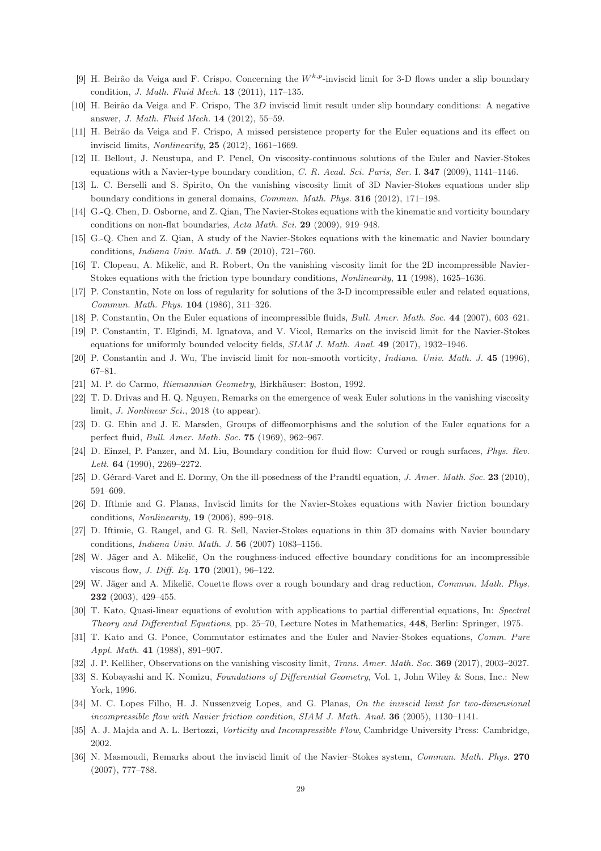- <span id="page-28-22"></span><span id="page-28-12"></span>[9] H. Beirão da Veiga and F. Crispo, Concerning the  $W^{k,p}$ -inviscid limit for 3-D flows under a slip boundary condition, J. Math. Fluid Mech. 13 (2011), 117–135.
- <span id="page-28-23"></span>[10] H. Beirão da Veiga and F. Crispo, The 3D inviscid limit result under slip boundary conditions: A negative answer, J. Math. Fluid Mech. 14 (2012), 55–59.
- <span id="page-28-13"></span>[11] H. Beirão da Veiga and F. Crispo, A missed persistence property for the Euler equations and its effect on inviscid limits, Nonlinearity, 25 (2012), 1661–1669.
- <span id="page-28-14"></span>[12] H. Bellout, J. Neustupa, and P. Penel, On viscosity-continuous solutions of the Euler and Navier-Stokes equations with a Navier-type boundary condition, C. R. Acad. Sci. Paris, Ser. I. 347 (2009), 1141–1146.
- <span id="page-28-15"></span>[13] L. C. Berselli and S. Spirito, On the vanishing viscosity limit of 3D Navier-Stokes equations under slip boundary conditions in general domains, Commun. Math. Phys. 316 (2012), 171–198.
- <span id="page-28-6"></span>[14] G.-Q. Chen, D. Osborne, and Z. Qian, The Navier-Stokes equations with the kinematic and vorticity boundary conditions on non-flat boundaries, Acta Math. Sci. 29 (2009), 919–948.
- <span id="page-28-16"></span>[15] G.-Q. Chen and Z. Qian, A study of the Navier-Stokes equations with the kinematic and Navier boundary conditions, Indiana Univ. Math. J. 59 (2010), 721–760.
- <span id="page-28-8"></span>[16] T. Clopeau, A. Mikelič, and R. Robert, On the vanishing viscosity limit for the 2D incompressible Navier-Stokes equations with the friction type boundary conditions, Nonlinearity, 11 (1998), 1625–1636.
- <span id="page-28-7"></span>[17] P. Constantin, Note on loss of regularity for solutions of the 3-D incompressible euler and related equations, Commun. Math. Phys. 104 (1986), 311–326.
- <span id="page-28-24"></span>[18] P. Constantin, On the Euler equations of incompressible fluids, Bull. Amer. Math. Soc. 44 (2007), 603–621.
- <span id="page-28-10"></span>[19] P. Constantin, T. Elgindi, M. Ignatova, and V. Vicol, Remarks on the inviscid limit for the Navier-Stokes equations for uniformly bounded velocity fields, SIAM J. Math. Anal. 49 (2017), 1932-1946.
- <span id="page-28-26"></span>[20] P. Constantin and J. Wu, The inviscid limit for non-smooth vorticity, *Indiana. Univ. Math. J.* 45 (1996), 67–81.
- <span id="page-28-21"></span>[21] M. P. do Carmo, Riemannian Geometry, Birkhäuser: Boston, 1992.
- <span id="page-28-25"></span>[22] T. D. Drivas and H. Q. Nguyen, Remarks on the emergence of weak Euler solutions in the vanishing viscosity limit, J. Nonlinear Sci., 2018 (to appear).
- <span id="page-28-3"></span>[23] D. G. Ebin and J. E. Marsden, Groups of diffeomorphisms and the solution of the Euler equations for a perfect fluid, Bull. Amer. Math. Soc. 75 (1969), 962–967.
- <span id="page-28-11"></span>[24] D. Einzel, P. Panzer, and M. Liu, Boundary condition for fluid flow: Curved or rough surfaces, *Phys. Rev.* Lett. 64 (1990), 2269–2272.
- <span id="page-28-18"></span>[25] D. Gérard-Varet and E. Dormy, On the ill-posedness of the Prandtl equation, J. Amer. Math. Soc. 23 (2010), 591–609.
- <span id="page-28-19"></span>[26] D. Iftimie and G. Planas, Inviscid limits for the Navier-Stokes equations with Navier friction boundary conditions, Nonlinearity, 19 (2006), 899–918.
- <span id="page-28-4"></span>[27] D. Iftimie, G. Raugel, and G. R. Sell, Navier-Stokes equations in thin 3D domains with Navier boundary conditions, Indiana Univ. Math. J. 56 (2007) 1083–1156.
- <span id="page-28-5"></span>[28] W. Jäger and A. Mikelič, On the roughness-induced effective boundary conditions for an incompressible viscous flow, J. Diff. Eq. 170 (2001), 96–122.
- [29] W. Jäger and A. Mikelič, Couette flows over a rough boundary and drag reduction, Commun. Math. Phys. 232 (2003), 429–455.
- <span id="page-28-1"></span><span id="page-28-0"></span>[30] T. Kato, Quasi-linear equations of evolution with applications to partial differential equations, In: Spectral Theory and Differential Equations, pp. 25–70, Lecture Notes in Mathematics, 448, Berlin: Springer, 1975.
- <span id="page-28-17"></span>[31] T. Kato and G. Ponce, Commutator estimates and the Euler and Navier-Stokes equations, Comm. Pure Appl. Math. 41 (1988), 891–907.
- [32] J. P. Kelliher, Observations on the vanishing viscosity limit, Trans. Amer. Math. Soc. 369 (2017), 2003–2027.
- <span id="page-28-20"></span>[33] S. Kobayashi and K. Nomizu, Foundations of Differential Geometry, Vol. 1, John Wiley & Sons, Inc.: New York, 1996.
- [34] M. C. Lopes Filho, H. J. Nussenzveig Lopes, and G. Planas, On the inviscid limit for two-dimensional incompressible flow with Navier friction condition, SIAM J. Math. Anal. 36 (2005), 1130–1141.
- <span id="page-28-9"></span><span id="page-28-2"></span>[35] A. J. Majda and A. L. Bertozzi, Vorticity and Incompressible Flow, Cambridge University Press: Cambridge, 2002.
- [36] N. Masmoudi, Remarks about the inviscid limit of the Navier–Stokes system, Commun. Math. Phys. 270 (2007), 777–788.